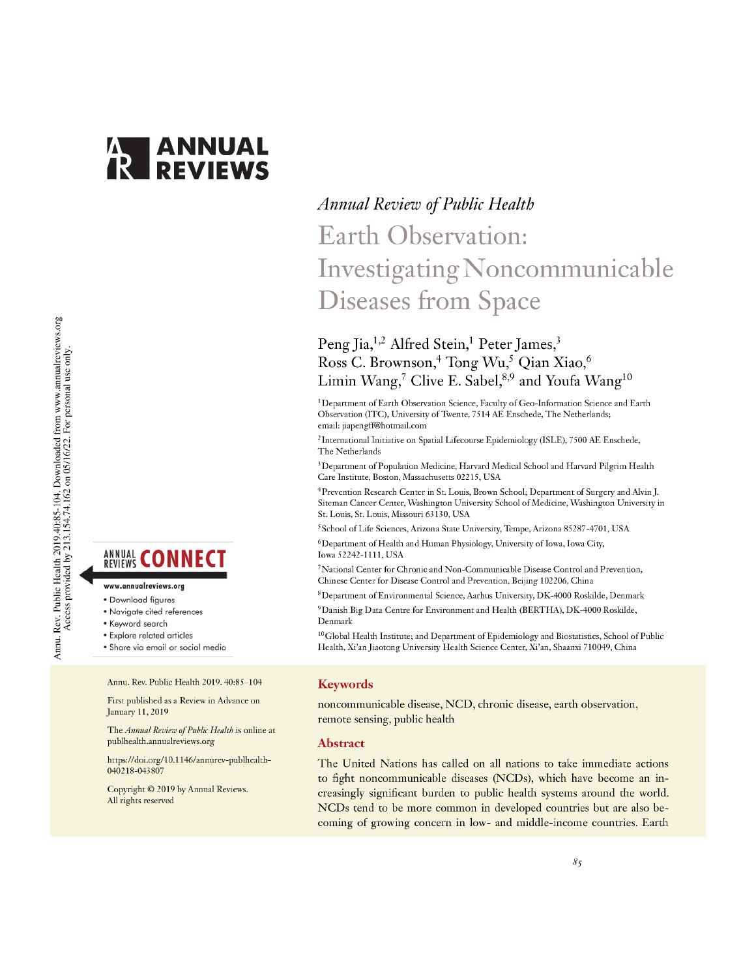

# Annu. Rev. Public Health 2019.40:85-104. Downloaded from www.annualreviews.org<br>Access provided by 213.154.74.162 on 05/16/22. For personal use only.

**ANNUAL CONNECT** 

- www.annualreviews.org
- · Download figures
- Navigate cited references
- Keyword search
- Explore related articles
- · Share via email or social media

Annu. Rev. Public Health 2019. 40:85-104

First published as a Review in Advance on January 11, 2019

The Annual Review of Public Health is online at publhealth.annualreviews.org

https://doi.org/10.1146/annurev-publhealth-040218-043807

Copyright © 2019 by Annual Reviews. All rights reserved

# **Annual Review of Public Health** Earth Observation: Investigating Noncommunicable **Diseases from Space**

# Peng Jia,<sup>1,2</sup> Alfred Stein,<sup>1</sup> Peter James,<sup>3</sup> Ross C. Brownson,<sup>4</sup> Tong Wu,<sup>5</sup> Qian Xiao,<sup>6</sup> Limin Wang,<sup>7</sup> Clive E. Sabel,<sup>8,9</sup> and Youfa Wang<sup>10</sup>

<sup>1</sup>Department of Earth Observation Science, Faculty of Geo-Information Science and Earth Observation (ITC), University of Twente, 7514 AE Enschede, The Netherlands; email: jiapengff@hotmail.com

<sup>2</sup> International Initiative on Spatial Lifecourse Epidemiology (ISLE), 7500 AE Enschede, The Netherlands

<sup>3</sup> Department of Population Medicine, Harvard Medical School and Harvard Pilgrim Health Care Institute, Boston, Massachusetts 02215, USA

<sup>4</sup>Prevention Research Center in St. Louis, Brown School; Department of Surgery and Alvin J. Siteman Cancer Center, Washington University School of Medicine, Washington University in St. Louis, St. Louis, Missouri 63130, USA

<sup>5</sup> School of Life Sciences, Arizona State University, Tempe, Arizona 85287-4701, USA

<sup>6</sup>Department of Health and Human Physiology, University of Iowa, Iowa City, Iowa 52242-1111, USA

<sup>7</sup>National Center for Chronic and Non-Communicable Disease Control and Prevention, Chinese Center for Disease Control and Prevention, Beijing 102206, China

<sup>8</sup>Department of Environmental Science, Aarhus University, DK-4000 Roskilde, Denmark

<sup>9</sup>Danish Big Data Centre for Environment and Health (BERTHA), DK-4000 Roskilde, Denmark

<sup>10</sup>Global Health Institute; and Department of Epidemiology and Biostatistics, School of Public Health, Xi'an Jiaotong University Health Science Center, Xi'an, Shaanxi 710049, China

#### **Keywords**

noncommunicable disease, NCD, chronic disease, earth observation, remote sensing, public health

#### **Abstract**

The United Nations has called on all nations to take immediate actions to fight noncommunicable diseases (NCDs), which have become an increasingly significant burden to public health systems around the world. NCDs tend to be more common in developed countries but are also becoming of growing concern in low- and middle-income countries. Earth

 $8<sub>5</sub>$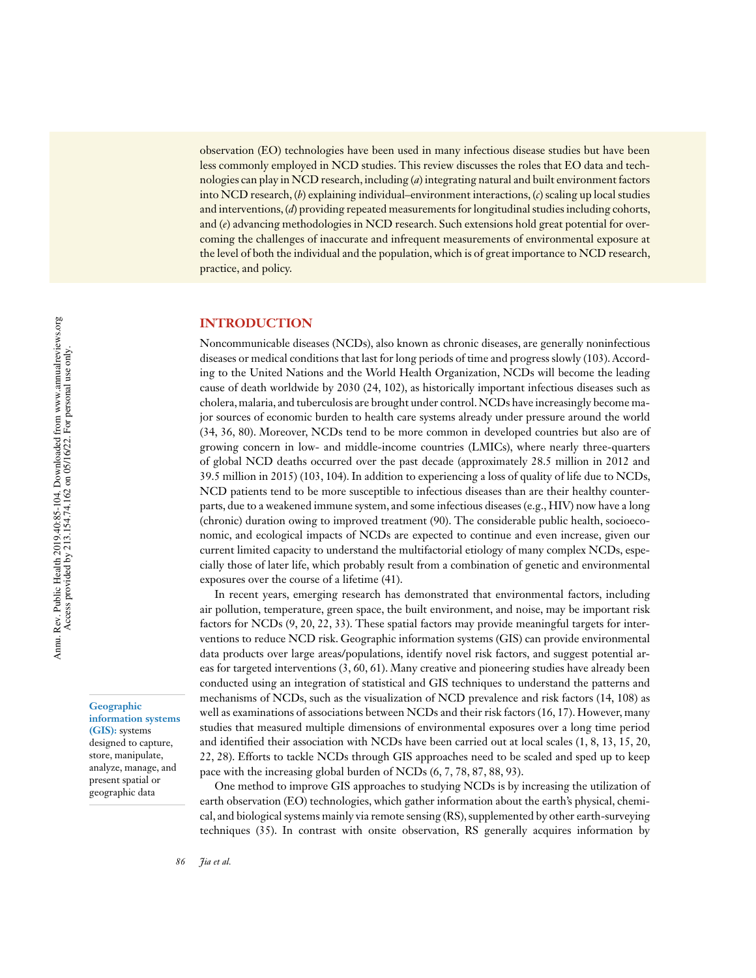observation (EO) technologies have been used in many infectious disease studies but have been less commonly employed in NCD studies. This review discusses the roles that EO data and technologies can play in NCD research, including (*a*) integrating natural and built environment factors into NCD research, (*b*) explaining individual–environment interactions, (*c*) scaling up local studies and interventions, (*d*) providing repeated measurements for longitudinal studies including cohorts, and (*e*) advancing methodologies in NCD research. Such extensions hold great potential for overcoming the challenges of inaccurate and infrequent measurements of environmental exposure at the level of both the individual and the population, which is of great importance to NCD research, practice, and policy.

#### **INTRODUCTION**

Noncommunicable diseases (NCDs), also known as chronic diseases, are generally noninfectious diseases or medical conditions that last for long periods of time and progress slowly (103). According to the United Nations and the World Health Organization, NCDs will become the leading cause of death worldwide by 2030 (24, 102), as historically important infectious diseases such as cholera, malaria, and tuberculosis are brought under control.NCDs have increasingly become major sources of economic burden to health care systems already under pressure around the world (34, 36, 80). Moreover, NCDs tend to be more common in developed countries but also are of growing concern in low- and middle-income countries (LMICs), where nearly three-quarters of global NCD deaths occurred over the past decade (approximately 28.5 million in 2012 and 39.5 million in 2015) (103, 104). In addition to experiencing a loss of quality of life due to NCDs, NCD patients tend to be more susceptible to infectious diseases than are their healthy counterparts, due to a weakened immune system, and some infectious diseases (e.g., HIV) now have a long (chronic) duration owing to improved treatment (90). The considerable public health, socioeconomic, and ecological impacts of NCDs are expected to continue and even increase, given our current limited capacity to understand the multifactorial etiology of many complex NCDs, especially those of later life, which probably result from a combination of genetic and environmental exposures over the course of a lifetime (41).

In recent years, emerging research has demonstrated that environmental factors, including air pollution, temperature, green space, the built environment, and noise, may be important risk factors for NCDs (9, 20, 22, 33). These spatial factors may provide meaningful targets for interventions to reduce NCD risk. Geographic information systems (GIS) can provide environmental data products over large areas/populations, identify novel risk factors, and suggest potential areas for targeted interventions (3, 60, 61). Many creative and pioneering studies have already been conducted using an integration of statistical and GIS techniques to understand the patterns and mechanisms of NCDs, such as the visualization of NCD prevalence and risk factors (14, 108) as well as examinations of associations between NCDs and their risk factors (16, 17). However, many studies that measured multiple dimensions of environmental exposures over a long time period and identified their association with NCDs have been carried out at local scales  $(1, 8, 13, 15, 20,$ 22, 28). Efforts to tackle NCDs through GIS approaches need to be scaled and sped up to keep pace with the increasing global burden of NCDs (6, 7, 78, 87, 88, 93).

One method to improve GIS approaches to studying NCDs is by increasing the utilization of earth observation (EO) technologies, which gather information about the earth's physical, chemical, and biological systems mainly via remote sensing (RS), supplemented by other earth-surveying techniques (35). In contrast with onsite observation, RS generally acquires information by

**Geographic**

**information systems (GIS):** systems designed to capture, store, manipulate, analyze, manage, and present spatial or geographic data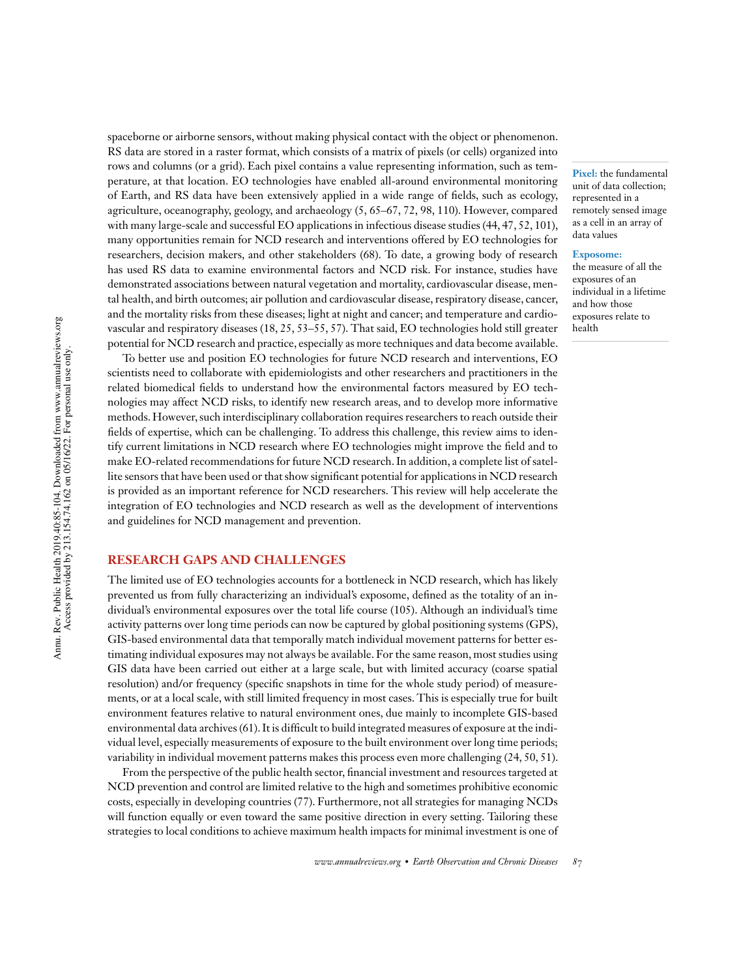spaceborne or airborne sensors, without making physical contact with the object or phenomenon. RS data are stored in a raster format, which consists of a matrix of pixels (or cells) organized into rows and columns (or a grid). Each pixel contains a value representing information, such as temperature, at that location. EO technologies have enabled all-around environmental monitoring of Earth, and RS data have been extensively applied in a wide range of fields, such as ecology, agriculture, oceanography, geology, and archaeology (5, 65–67, 72, 98, 110). However, compared with many large-scale and successful EO applications in infectious disease studies (44, 47, 52, 101), many opportunities remain for NCD research and interventions offered by EO technologies for researchers, decision makers, and other stakeholders (68). To date, a growing body of research has used RS data to examine environmental factors and NCD risk. For instance, studies have demonstrated associations between natural vegetation and mortality, cardiovascular disease, mental health, and birth outcomes; air pollution and cardiovascular disease, respiratory disease, cancer, and the mortality risks from these diseases; light at night and cancer; and temperature and cardiovascular and respiratory diseases (18, 25, 53–55, 57). That said, EO technologies hold still greater potential for NCD research and practice, especially as more techniques and data become available.

To better use and position EO technologies for future NCD research and interventions, EO scientists need to collaborate with epidemiologists and other researchers and practitioners in the related biomedical fields to understand how the environmental factors measured by EO technologies may affect NCD risks, to identify new research areas, and to develop more informative methods. However, such interdisciplinary collaboration requires researchers to reach outside their -elds of expertise, which can be challenging. To address this challenge, this review aims to identify current limitations in NCD research where EO technologies might improve the field and to make EO-related recommendations for future NCD research.In addition, a complete list of satellite sensors that have been used or that show significant potential for applications in NCD research is provided as an important reference for NCD researchers. This review will help accelerate the integration of EO technologies and NCD research as well as the development of interventions and guidelines for NCD management and prevention.

#### **RESEARCH GAPS AND CHALLENGES**

The limited use of EO technologies accounts for a bottleneck in NCD research, which has likely prevented us from fully characterizing an individual's exposome, defined as the totality of an individual's environmental exposures over the total life course (105). Although an individual's time activity patterns over long time periods can now be captured by global positioning systems (GPS), GIS-based environmental data that temporally match individual movement patterns for better estimating individual exposures may not always be available. For the same reason, most studies using GIS data have been carried out either at a large scale, but with limited accuracy (coarse spatial resolution) and/or frequency (specific snapshots in time for the whole study period) of measurements, or at a local scale, with still limited frequency in most cases. This is especially true for built environment features relative to natural environment ones, due mainly to incomplete GIS-based environmental data archives (61). It is difficult to build integrated measures of exposure at the individual level, especially measurements of exposure to the built environment over long time periods; variability in individual movement patterns makes this process even more challenging (24, 50, 51).

From the perspective of the public health sector, financial investment and resources targeted at NCD prevention and control are limited relative to the high and sometimes prohibitive economic costs, especially in developing countries (77). Furthermore, not all strategies for managing NCDs will function equally or even toward the same positive direction in every setting. Tailoring these strategies to local conditions to achieve maximum health impacts for minimal investment is one of

**Pixel:** the fundamental unit of data collection; represented in a remotely sensed image as a cell in an array of data values

#### **Exposome:**

the measure of all the exposures of an individual in a lifetime and how those exposures relate to health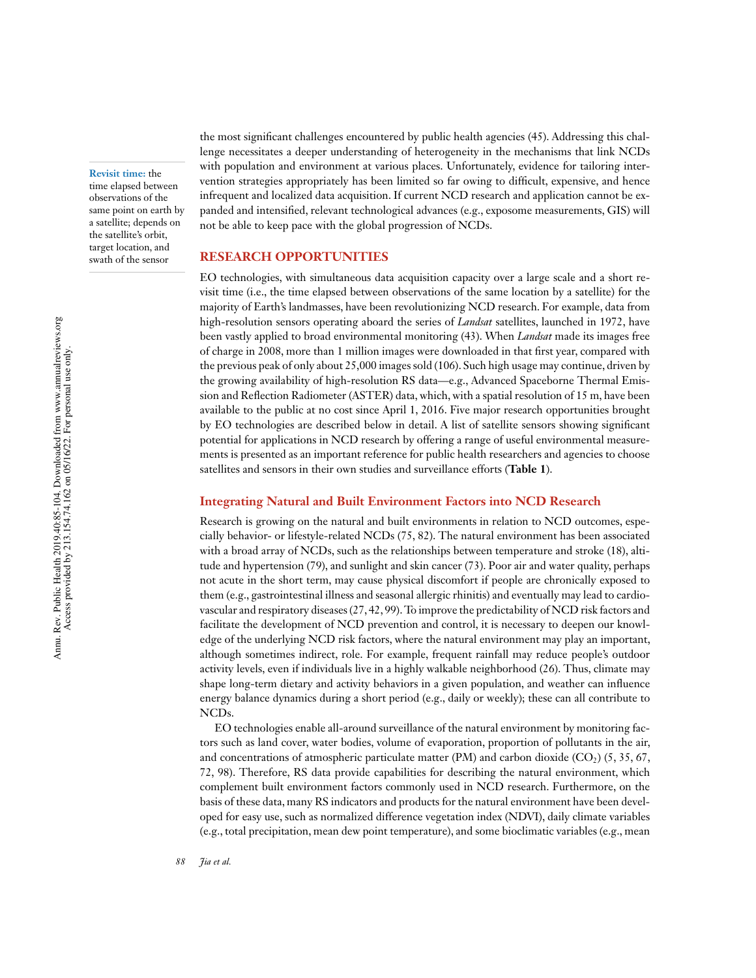**Revisit time:** the time elapsed between observations of the same point on earth by a satellite; depends on the satellite's orbit, target location, and swath of the sensor

the most significant challenges encountered by public health agencies (45). Addressing this challenge necessitates a deeper understanding of heterogeneity in the mechanisms that link NCDs with population and environment at various places. Unfortunately, evidence for tailoring intervention strategies appropriately has been limited so far owing to difficult, expensive, and hence infrequent and localized data acquisition. If current NCD research and application cannot be expanded and intensified, relevant technological advances (e.g., exposome measurements, GIS) will not be able to keep pace with the global progression of NCDs.

#### **RESEARCH OPPORTUNITIES**

EO technologies, with simultaneous data acquisition capacity over a large scale and a short revisit time (i.e., the time elapsed between observations of the same location by a satellite) for the majority of Earth's landmasses, have been revolutionizing NCD research. For example, data from high-resolution sensors operating aboard the series of *Landsat* satellites, launched in 1972, have been vastly applied to broad environmental monitoring (43). When *Landsat* made its images free of charge in 2008, more than 1 million images were downloaded in that first year, compared with the previous peak of only about 25,000 images sold (106). Such high usage may continue, driven by the growing availability of high-resolution RS data—e.g., Advanced Spaceborne Thermal Emission and Reflection Radiometer (ASTER) data, which, with a spatial resolution of 15 m, have been available to the public at no cost since April 1, 2016. Five major research opportunities brought by EO technologies are described below in detail. A list of satellite sensors showing significant potential for applications in NCD research by offering a range of useful environmental measurements is presented as an important reference for public health researchers and agencies to choose satellites and sensors in their own studies and surveillance efforts (**Table 1**).

#### **Integrating Natural and Built Environment Factors into NCD Research**

Research is growing on the natural and built environments in relation to NCD outcomes, especially behavior- or lifestyle-related NCDs (75, 82). The natural environment has been associated with a broad array of NCDs, such as the relationships between temperature and stroke (18), altitude and hypertension (79), and sunlight and skin cancer (73). Poor air and water quality, perhaps not acute in the short term, may cause physical discomfort if people are chronically exposed to them (e.g., gastrointestinal illness and seasonal allergic rhinitis) and eventually may lead to cardiovascular and respiratory diseases(27, 42, 99).To improve the predictability of NCD risk factors and facilitate the development of NCD prevention and control, it is necessary to deepen our knowledge of the underlying NCD risk factors, where the natural environment may play an important, although sometimes indirect, role. For example, frequent rainfall may reduce people's outdoor activity levels, even if individuals live in a highly walkable neighborhood (26). Thus, climate may shape long-term dietary and activity behaviors in a given population, and weather can influence energy balance dynamics during a short period (e.g., daily or weekly); these can all contribute to NCDs.

EO technologies enable all-around surveillance of the natural environment by monitoring factors such as land cover, water bodies, volume of evaporation, proportion of pollutants in the air, and concentrations of atmospheric particulate matter (PM) and carbon dioxide (CO<sub>2</sub>) (5, 35, 67, 72, 98). Therefore, RS data provide capabilities for describing the natural environment, which complement built environment factors commonly used in NCD research. Furthermore, on the basis of these data, many RS indicators and products for the natural environment have been developed for easy use, such as normalized difference vegetation index (NDVI), daily climate variables (e.g., total precipitation, mean dew point temperature), and some bioclimatic variables (e.g., mean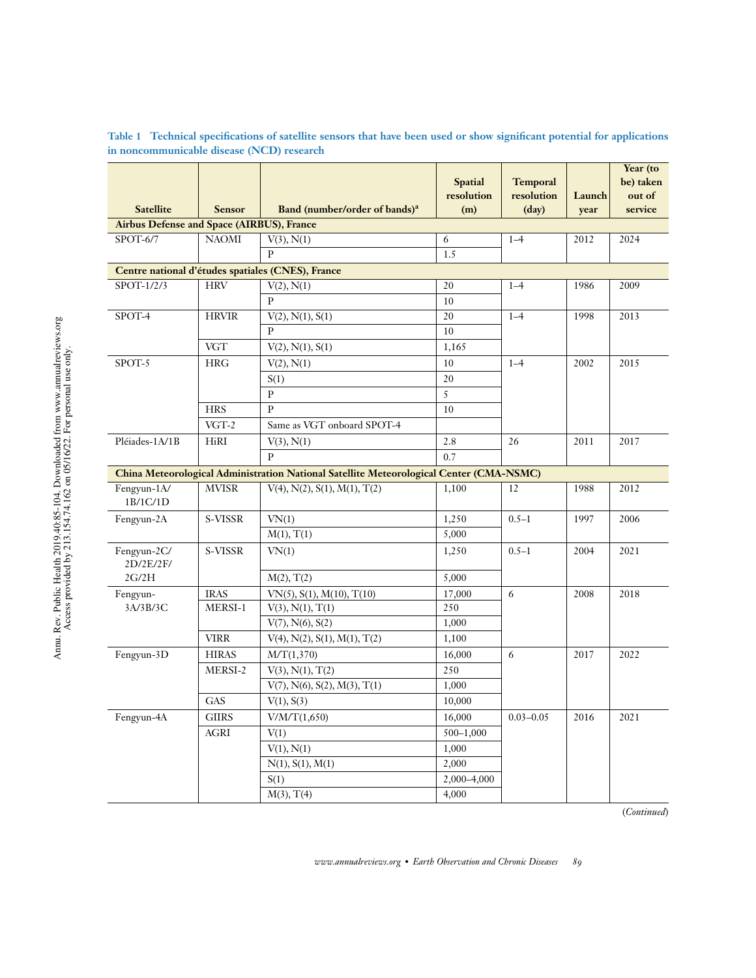| resolution<br>resolution<br>Launch<br>out of<br><b>Satellite</b><br>Band (number/order of bands) <sup>a</sup><br><b>Sensor</b><br>(m)<br>(day)<br>service<br>year<br><b>Airbus Defense and Space (AIRBUS), France</b><br><b>NAOMI</b><br>SPOT-6/7<br>2024<br>V(3), N(1)<br>6<br>$1 - 4$<br>2012<br>$\mathbf{p}$<br>1.5<br>Centre national d'études spatiales (CNES), France<br>SPOT-1/2/3<br><b>HRV</b><br>20<br>V(2), N(1)<br>$1 - 4$<br>1986<br>2009<br>$\mathbf{p}$<br>10<br>SPOT-4<br><b>HRVIR</b><br>20<br>$1 - 4$<br>1998<br>2013<br>V(2), N(1), S(1)<br>P<br>10<br><b>VGT</b><br>1,165<br>V(2), N(1), S(1)<br>SPOT-5<br><b>HRG</b><br>10<br>$1 - 4$<br>2002<br>2015<br>V(2), N(1)<br>20<br>S(1)<br>5<br>$\, {\bf P}$<br><b>HRS</b><br>P<br>10<br>$VGT-2$<br>Same as VGT onboard SPOT-4<br>Pléiades-1A/1B<br>HiRI<br>2.8<br>V(3), N(1)<br>26<br>2011<br>2017<br>$\mathbf{p}$<br>0.7<br>China Meteorological Administration National Satellite Meteorological Center (CMA-NSMC)<br>Fengyun-1A/<br><b>MVISR</b><br>$V(4)$ , $N(2)$ , $S(1)$ , $M(1)$ , $T(2)$<br>1,100<br>12<br>1988<br>2012<br>1B/1C/1D<br>1,250<br>Fengyun-2A<br>S-VISSR<br>$0.5 - 1$<br>1997<br>2006<br>VN(1)<br>5,000<br>M(1), T(1)<br>Fengyun-2C/<br>S-VISSR<br>VN(1)<br>1,250<br>$0.5 - 1$<br>2004<br>2021<br>2D/2E/2F/<br>2G/2H<br>5,000<br>M(2), T(2)<br><b>IRAS</b><br>17,000<br>6<br>Fengyun-<br>$VN(5)$ , $S(1)$ , $M(10)$ , $T(10)$<br>2008<br>2018<br>MERSI-1<br>V(3), N(1), T(1)<br>250<br>3A/3B/3C<br>1,000<br>$V(7)$ , $N(6)$ , $S(2)$<br><b>VIRR</b><br>$V(4)$ , $N(2)$ , $S(1)$ , $M(1)$ , $T(2)$<br>1,100<br><b>HIRAS</b><br>16,000<br>Fengyun-3D<br>M/T(1,370)<br>6<br>2017<br>2022<br>250<br>MERSI-2<br>V(3), N(1), T(2)<br>$V(7)$ , $N(6)$ , $S(2)$ , $M(3)$ , $T(1)$<br>1,000<br>GAS<br>10,000<br>V(1), S(3)<br>16,000<br>Fengyun-4A<br>$\rm GIIRS$<br>$0.03 - 0.05$<br>2016<br>2021<br>V/M/T(1,650)<br>$500 - 1,000$<br>$\operatorname{AGRI}$<br>V(1)<br>V(1), N(1)<br>1,000<br>2,000<br>N(1), S(1), M(1)<br>2,000-4,000<br>S(1)<br>M(3), T(4)<br>4,000 |  |                |                 |  | Year (to  |
|-----------------------------------------------------------------------------------------------------------------------------------------------------------------------------------------------------------------------------------------------------------------------------------------------------------------------------------------------------------------------------------------------------------------------------------------------------------------------------------------------------------------------------------------------------------------------------------------------------------------------------------------------------------------------------------------------------------------------------------------------------------------------------------------------------------------------------------------------------------------------------------------------------------------------------------------------------------------------------------------------------------------------------------------------------------------------------------------------------------------------------------------------------------------------------------------------------------------------------------------------------------------------------------------------------------------------------------------------------------------------------------------------------------------------------------------------------------------------------------------------------------------------------------------------------------------------------------------------------------------------------------------------------------------------------------------------------------------------------------------------------------------------------------------------------------------------------------------------------------------------------------------------------------------------------------------------------------------------------------------------------------------------------------------------------|--|----------------|-----------------|--|-----------|
|                                                                                                                                                                                                                                                                                                                                                                                                                                                                                                                                                                                                                                                                                                                                                                                                                                                                                                                                                                                                                                                                                                                                                                                                                                                                                                                                                                                                                                                                                                                                                                                                                                                                                                                                                                                                                                                                                                                                                                                                                                                     |  | <b>Spatial</b> | <b>Temporal</b> |  | be) taken |
|                                                                                                                                                                                                                                                                                                                                                                                                                                                                                                                                                                                                                                                                                                                                                                                                                                                                                                                                                                                                                                                                                                                                                                                                                                                                                                                                                                                                                                                                                                                                                                                                                                                                                                                                                                                                                                                                                                                                                                                                                                                     |  |                |                 |  |           |
|                                                                                                                                                                                                                                                                                                                                                                                                                                                                                                                                                                                                                                                                                                                                                                                                                                                                                                                                                                                                                                                                                                                                                                                                                                                                                                                                                                                                                                                                                                                                                                                                                                                                                                                                                                                                                                                                                                                                                                                                                                                     |  |                |                 |  |           |
|                                                                                                                                                                                                                                                                                                                                                                                                                                                                                                                                                                                                                                                                                                                                                                                                                                                                                                                                                                                                                                                                                                                                                                                                                                                                                                                                                                                                                                                                                                                                                                                                                                                                                                                                                                                                                                                                                                                                                                                                                                                     |  |                |                 |  |           |
|                                                                                                                                                                                                                                                                                                                                                                                                                                                                                                                                                                                                                                                                                                                                                                                                                                                                                                                                                                                                                                                                                                                                                                                                                                                                                                                                                                                                                                                                                                                                                                                                                                                                                                                                                                                                                                                                                                                                                                                                                                                     |  |                |                 |  |           |
|                                                                                                                                                                                                                                                                                                                                                                                                                                                                                                                                                                                                                                                                                                                                                                                                                                                                                                                                                                                                                                                                                                                                                                                                                                                                                                                                                                                                                                                                                                                                                                                                                                                                                                                                                                                                                                                                                                                                                                                                                                                     |  |                |                 |  |           |
|                                                                                                                                                                                                                                                                                                                                                                                                                                                                                                                                                                                                                                                                                                                                                                                                                                                                                                                                                                                                                                                                                                                                                                                                                                                                                                                                                                                                                                                                                                                                                                                                                                                                                                                                                                                                                                                                                                                                                                                                                                                     |  |                |                 |  |           |
|                                                                                                                                                                                                                                                                                                                                                                                                                                                                                                                                                                                                                                                                                                                                                                                                                                                                                                                                                                                                                                                                                                                                                                                                                                                                                                                                                                                                                                                                                                                                                                                                                                                                                                                                                                                                                                                                                                                                                                                                                                                     |  |                |                 |  |           |
|                                                                                                                                                                                                                                                                                                                                                                                                                                                                                                                                                                                                                                                                                                                                                                                                                                                                                                                                                                                                                                                                                                                                                                                                                                                                                                                                                                                                                                                                                                                                                                                                                                                                                                                                                                                                                                                                                                                                                                                                                                                     |  |                |                 |  |           |
|                                                                                                                                                                                                                                                                                                                                                                                                                                                                                                                                                                                                                                                                                                                                                                                                                                                                                                                                                                                                                                                                                                                                                                                                                                                                                                                                                                                                                                                                                                                                                                                                                                                                                                                                                                                                                                                                                                                                                                                                                                                     |  |                |                 |  |           |
|                                                                                                                                                                                                                                                                                                                                                                                                                                                                                                                                                                                                                                                                                                                                                                                                                                                                                                                                                                                                                                                                                                                                                                                                                                                                                                                                                                                                                                                                                                                                                                                                                                                                                                                                                                                                                                                                                                                                                                                                                                                     |  |                |                 |  |           |
|                                                                                                                                                                                                                                                                                                                                                                                                                                                                                                                                                                                                                                                                                                                                                                                                                                                                                                                                                                                                                                                                                                                                                                                                                                                                                                                                                                                                                                                                                                                                                                                                                                                                                                                                                                                                                                                                                                                                                                                                                                                     |  |                |                 |  |           |
|                                                                                                                                                                                                                                                                                                                                                                                                                                                                                                                                                                                                                                                                                                                                                                                                                                                                                                                                                                                                                                                                                                                                                                                                                                                                                                                                                                                                                                                                                                                                                                                                                                                                                                                                                                                                                                                                                                                                                                                                                                                     |  |                |                 |  |           |
|                                                                                                                                                                                                                                                                                                                                                                                                                                                                                                                                                                                                                                                                                                                                                                                                                                                                                                                                                                                                                                                                                                                                                                                                                                                                                                                                                                                                                                                                                                                                                                                                                                                                                                                                                                                                                                                                                                                                                                                                                                                     |  |                |                 |  |           |
|                                                                                                                                                                                                                                                                                                                                                                                                                                                                                                                                                                                                                                                                                                                                                                                                                                                                                                                                                                                                                                                                                                                                                                                                                                                                                                                                                                                                                                                                                                                                                                                                                                                                                                                                                                                                                                                                                                                                                                                                                                                     |  |                |                 |  |           |
|                                                                                                                                                                                                                                                                                                                                                                                                                                                                                                                                                                                                                                                                                                                                                                                                                                                                                                                                                                                                                                                                                                                                                                                                                                                                                                                                                                                                                                                                                                                                                                                                                                                                                                                                                                                                                                                                                                                                                                                                                                                     |  |                |                 |  |           |
|                                                                                                                                                                                                                                                                                                                                                                                                                                                                                                                                                                                                                                                                                                                                                                                                                                                                                                                                                                                                                                                                                                                                                                                                                                                                                                                                                                                                                                                                                                                                                                                                                                                                                                                                                                                                                                                                                                                                                                                                                                                     |  |                |                 |  |           |
|                                                                                                                                                                                                                                                                                                                                                                                                                                                                                                                                                                                                                                                                                                                                                                                                                                                                                                                                                                                                                                                                                                                                                                                                                                                                                                                                                                                                                                                                                                                                                                                                                                                                                                                                                                                                                                                                                                                                                                                                                                                     |  |                |                 |  |           |
|                                                                                                                                                                                                                                                                                                                                                                                                                                                                                                                                                                                                                                                                                                                                                                                                                                                                                                                                                                                                                                                                                                                                                                                                                                                                                                                                                                                                                                                                                                                                                                                                                                                                                                                                                                                                                                                                                                                                                                                                                                                     |  |                |                 |  |           |
|                                                                                                                                                                                                                                                                                                                                                                                                                                                                                                                                                                                                                                                                                                                                                                                                                                                                                                                                                                                                                                                                                                                                                                                                                                                                                                                                                                                                                                                                                                                                                                                                                                                                                                                                                                                                                                                                                                                                                                                                                                                     |  |                |                 |  |           |
|                                                                                                                                                                                                                                                                                                                                                                                                                                                                                                                                                                                                                                                                                                                                                                                                                                                                                                                                                                                                                                                                                                                                                                                                                                                                                                                                                                                                                                                                                                                                                                                                                                                                                                                                                                                                                                                                                                                                                                                                                                                     |  |                |                 |  |           |
|                                                                                                                                                                                                                                                                                                                                                                                                                                                                                                                                                                                                                                                                                                                                                                                                                                                                                                                                                                                                                                                                                                                                                                                                                                                                                                                                                                                                                                                                                                                                                                                                                                                                                                                                                                                                                                                                                                                                                                                                                                                     |  |                |                 |  |           |
|                                                                                                                                                                                                                                                                                                                                                                                                                                                                                                                                                                                                                                                                                                                                                                                                                                                                                                                                                                                                                                                                                                                                                                                                                                                                                                                                                                                                                                                                                                                                                                                                                                                                                                                                                                                                                                                                                                                                                                                                                                                     |  |                |                 |  |           |
|                                                                                                                                                                                                                                                                                                                                                                                                                                                                                                                                                                                                                                                                                                                                                                                                                                                                                                                                                                                                                                                                                                                                                                                                                                                                                                                                                                                                                                                                                                                                                                                                                                                                                                                                                                                                                                                                                                                                                                                                                                                     |  |                |                 |  |           |
|                                                                                                                                                                                                                                                                                                                                                                                                                                                                                                                                                                                                                                                                                                                                                                                                                                                                                                                                                                                                                                                                                                                                                                                                                                                                                                                                                                                                                                                                                                                                                                                                                                                                                                                                                                                                                                                                                                                                                                                                                                                     |  |                |                 |  |           |
|                                                                                                                                                                                                                                                                                                                                                                                                                                                                                                                                                                                                                                                                                                                                                                                                                                                                                                                                                                                                                                                                                                                                                                                                                                                                                                                                                                                                                                                                                                                                                                                                                                                                                                                                                                                                                                                                                                                                                                                                                                                     |  |                |                 |  |           |
|                                                                                                                                                                                                                                                                                                                                                                                                                                                                                                                                                                                                                                                                                                                                                                                                                                                                                                                                                                                                                                                                                                                                                                                                                                                                                                                                                                                                                                                                                                                                                                                                                                                                                                                                                                                                                                                                                                                                                                                                                                                     |  |                |                 |  |           |
|                                                                                                                                                                                                                                                                                                                                                                                                                                                                                                                                                                                                                                                                                                                                                                                                                                                                                                                                                                                                                                                                                                                                                                                                                                                                                                                                                                                                                                                                                                                                                                                                                                                                                                                                                                                                                                                                                                                                                                                                                                                     |  |                |                 |  |           |
|                                                                                                                                                                                                                                                                                                                                                                                                                                                                                                                                                                                                                                                                                                                                                                                                                                                                                                                                                                                                                                                                                                                                                                                                                                                                                                                                                                                                                                                                                                                                                                                                                                                                                                                                                                                                                                                                                                                                                                                                                                                     |  |                |                 |  |           |
|                                                                                                                                                                                                                                                                                                                                                                                                                                                                                                                                                                                                                                                                                                                                                                                                                                                                                                                                                                                                                                                                                                                                                                                                                                                                                                                                                                                                                                                                                                                                                                                                                                                                                                                                                                                                                                                                                                                                                                                                                                                     |  |                |                 |  |           |
|                                                                                                                                                                                                                                                                                                                                                                                                                                                                                                                                                                                                                                                                                                                                                                                                                                                                                                                                                                                                                                                                                                                                                                                                                                                                                                                                                                                                                                                                                                                                                                                                                                                                                                                                                                                                                                                                                                                                                                                                                                                     |  |                |                 |  |           |
|                                                                                                                                                                                                                                                                                                                                                                                                                                                                                                                                                                                                                                                                                                                                                                                                                                                                                                                                                                                                                                                                                                                                                                                                                                                                                                                                                                                                                                                                                                                                                                                                                                                                                                                                                                                                                                                                                                                                                                                                                                                     |  |                |                 |  |           |
|                                                                                                                                                                                                                                                                                                                                                                                                                                                                                                                                                                                                                                                                                                                                                                                                                                                                                                                                                                                                                                                                                                                                                                                                                                                                                                                                                                                                                                                                                                                                                                                                                                                                                                                                                                                                                                                                                                                                                                                                                                                     |  |                |                 |  |           |
|                                                                                                                                                                                                                                                                                                                                                                                                                                                                                                                                                                                                                                                                                                                                                                                                                                                                                                                                                                                                                                                                                                                                                                                                                                                                                                                                                                                                                                                                                                                                                                                                                                                                                                                                                                                                                                                                                                                                                                                                                                                     |  |                |                 |  |           |
|                                                                                                                                                                                                                                                                                                                                                                                                                                                                                                                                                                                                                                                                                                                                                                                                                                                                                                                                                                                                                                                                                                                                                                                                                                                                                                                                                                                                                                                                                                                                                                                                                                                                                                                                                                                                                                                                                                                                                                                                                                                     |  |                |                 |  |           |
|                                                                                                                                                                                                                                                                                                                                                                                                                                                                                                                                                                                                                                                                                                                                                                                                                                                                                                                                                                                                                                                                                                                                                                                                                                                                                                                                                                                                                                                                                                                                                                                                                                                                                                                                                                                                                                                                                                                                                                                                                                                     |  |                |                 |  |           |
|                                                                                                                                                                                                                                                                                                                                                                                                                                                                                                                                                                                                                                                                                                                                                                                                                                                                                                                                                                                                                                                                                                                                                                                                                                                                                                                                                                                                                                                                                                                                                                                                                                                                                                                                                                                                                                                                                                                                                                                                                                                     |  |                |                 |  |           |
|                                                                                                                                                                                                                                                                                                                                                                                                                                                                                                                                                                                                                                                                                                                                                                                                                                                                                                                                                                                                                                                                                                                                                                                                                                                                                                                                                                                                                                                                                                                                                                                                                                                                                                                                                                                                                                                                                                                                                                                                                                                     |  |                |                 |  |           |

Table 1 Technical specifications of satellite sensors that have been used or show significant potential for applications **in noncommunicable disease (NCD) research**

(*Continued*)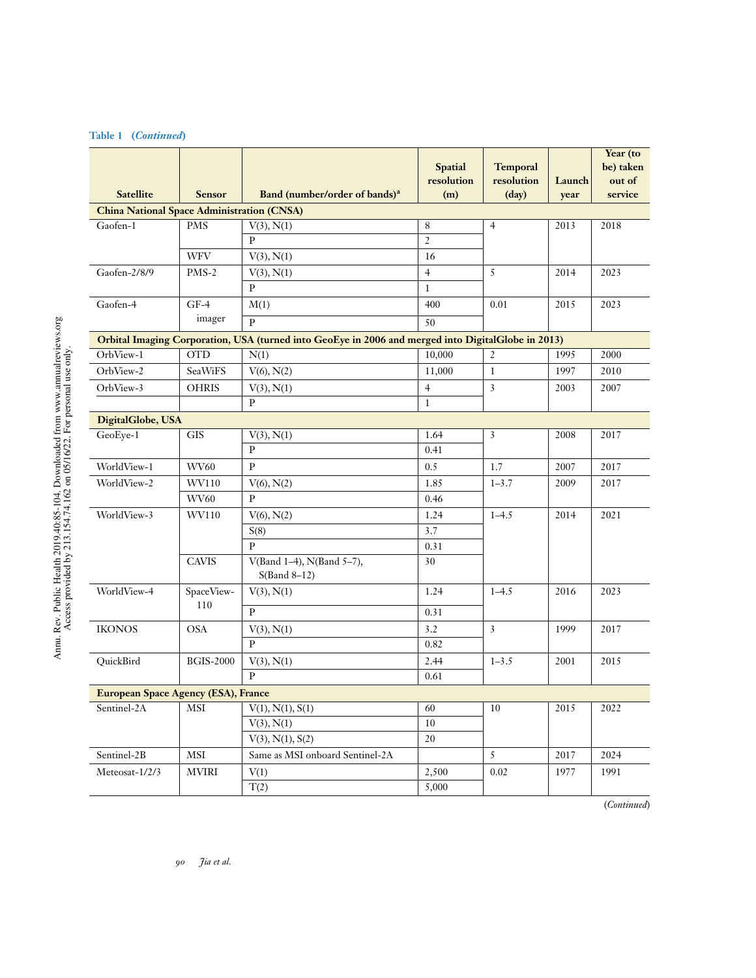| <b>Satellite</b>                                  | <b>Sensor</b>    | Band (number/order of bands) <sup>a</sup>                                                          | <b>Spatial</b><br>resolution<br>(m) | <b>Temporal</b><br>resolution<br>$(\text{day})$ | Launch<br>year | Year (to<br>be) taken<br>out of<br>service |
|---------------------------------------------------|------------------|----------------------------------------------------------------------------------------------------|-------------------------------------|-------------------------------------------------|----------------|--------------------------------------------|
| <b>China National Space Administration (CNSA)</b> |                  |                                                                                                    |                                     |                                                 |                |                                            |
| Gaofen-1                                          | <b>PMS</b>       | V(3), N(1)                                                                                         | 8                                   | $\overline{4}$                                  | 2013           | 2018                                       |
|                                                   |                  | P                                                                                                  | $\overline{2}$                      |                                                 |                |                                            |
|                                                   | <b>WFV</b>       | V(3), N(1)                                                                                         | 16                                  |                                                 |                |                                            |
| Gaofen-2/8/9                                      | PMS-2            | V(3), N(1)                                                                                         | $\overline{4}$                      | 5                                               | 2014           | 2023                                       |
|                                                   |                  | P                                                                                                  | $\mathbf{1}$                        |                                                 |                |                                            |
| Gaofen-4                                          | $GF-4$           | M(1)                                                                                               | 400                                 | 0.01                                            | 2015           | 2023                                       |
|                                                   | imager           | $\overline{P}$                                                                                     | 50                                  |                                                 |                |                                            |
|                                                   |                  | Orbital Imaging Corporation, USA (turned into GeoEye in 2006 and merged into DigitalGlobe in 2013) |                                     |                                                 |                |                                            |
| OrbView-1                                         | <b>OTD</b>       | N(1)                                                                                               | 10,000                              | $\overline{2}$                                  | 1995           | 2000                                       |
| OrbView-2                                         | SeaWiFS          | $V(6)$ , $N(2)$                                                                                    | 11,000                              | $\mathbf{1}$                                    | 1997           | 2010                                       |
| OrbView-3                                         | <b>OHRIS</b>     | V(3), N(1)                                                                                         | $\overline{4}$                      | $\overline{3}$                                  | 2007<br>2003   |                                            |
|                                                   |                  | P                                                                                                  | $\mathbf{1}$                        |                                                 |                |                                            |
| DigitalGlobe, USA                                 |                  |                                                                                                    |                                     |                                                 |                |                                            |
| GeoEye-1                                          | <b>GIS</b>       | V(3), N(1)                                                                                         | 1.64                                | 3                                               | 2008           | 2017                                       |
|                                                   |                  | P                                                                                                  | 0.41                                |                                                 |                |                                            |
| WorldView-1                                       | WV60             | $\, {\bf P}$                                                                                       | 0.5                                 | 1.7                                             | 2007           | 2017                                       |
| WorldView-2                                       | WV110            | V(6), N(2)                                                                                         | 1.85                                | $1 - 3.7$                                       | 2009           | 2017                                       |
|                                                   | WV60             | P                                                                                                  | 0.46                                |                                                 |                |                                            |
| WorldView-3                                       | WV110            | V(6), N(2)                                                                                         | 1.24                                | $1 - 4.5$                                       | 2014           | 2021                                       |
|                                                   |                  | S(8)                                                                                               | 3.7                                 |                                                 |                |                                            |
|                                                   |                  | $\, {\bf P}$                                                                                       | 0.31                                |                                                 |                |                                            |
|                                                   | <b>CAVIS</b>     | V(Band 1-4), N(Band 5-7),<br>$S(Band 8-12)$                                                        | 30                                  |                                                 |                |                                            |
| WorldView-4                                       | SpaceView-       | V(3), N(1)                                                                                         | 1.24                                | $1 - 4.5$                                       | 2016           | 2023                                       |
|                                                   | 110              | $\mathbf{P}$                                                                                       | 0.31                                |                                                 |                |                                            |
| <b>IKONOS</b>                                     | <b>OSA</b>       | V(3), N(1)                                                                                         | 3.2                                 | $\overline{3}$                                  | 1999           | 2017                                       |
|                                                   |                  | P                                                                                                  | 0.82                                |                                                 |                |                                            |
| QuickBird                                         | <b>BGIS-2000</b> | V(3), N(1)                                                                                         | 2.44                                | $1 - 3.5$                                       | 2001           | 2015                                       |
|                                                   |                  | P                                                                                                  | 0.61                                |                                                 |                |                                            |
| European Space Agency (ESA), France               |                  |                                                                                                    |                                     |                                                 |                |                                            |
| Sentinel-2A                                       | MSI              | V(1), N(1), S(1)                                                                                   | 60                                  | $10\,$                                          | 2015           | 2022                                       |
|                                                   |                  | V(3), N(1)                                                                                         | 10                                  |                                                 |                |                                            |
|                                                   |                  | V(3), N(1), S(2)                                                                                   | 20                                  |                                                 |                |                                            |
| Sentinel-2B                                       | MSI              | Same as MSI onboard Sentinel-2A                                                                    |                                     | $\overline{5}$                                  | 2017           | 2024                                       |
| Meteosat-1/2/3                                    | <b>MVIRI</b>     | V(1)                                                                                               | 2,500                               | 0.02                                            | 1977           | 1991                                       |
|                                                   |                  | T(2)                                                                                               | 5,000                               |                                                 |                |                                            |

## **Table 1 (***Continued***)**

(*Continued*)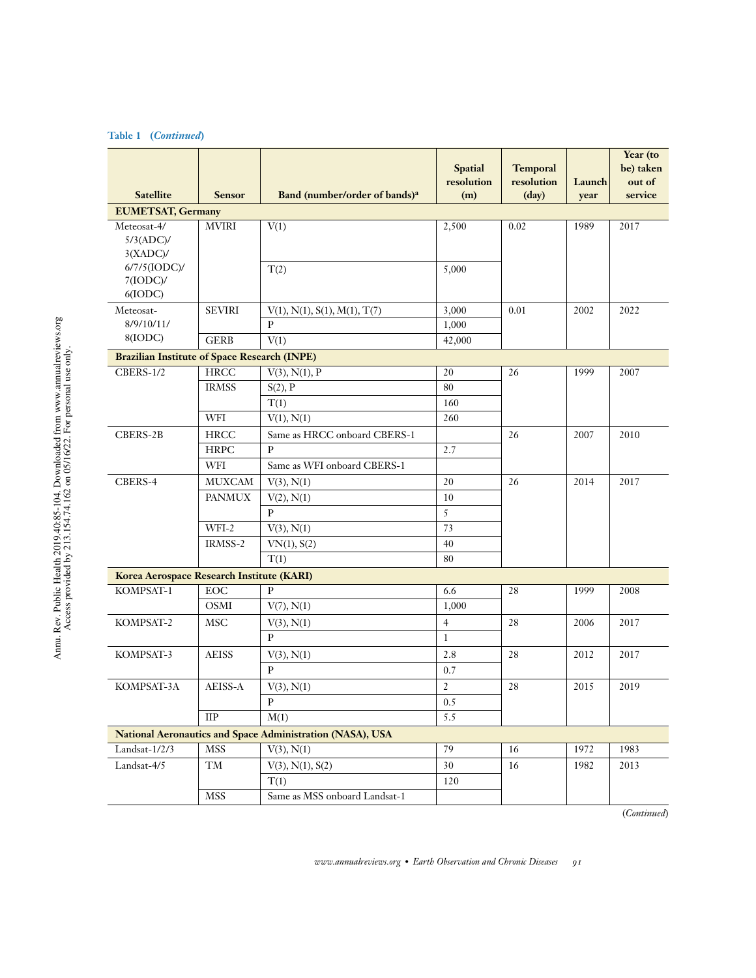## **Table 1 (***Continued***)**

| <b>Satellite</b>                                    | <b>Sensor</b>          | Band (number/order of bands) <sup>a</sup>                 | <b>Spatial</b><br>resolution<br>(m) | <b>Temporal</b><br>resolution<br>$(\text{day})$ | Launch<br>year | Year (to<br>be) taken<br>out of<br>service |
|-----------------------------------------------------|------------------------|-----------------------------------------------------------|-------------------------------------|-------------------------------------------------|----------------|--------------------------------------------|
| <b>EUMETSAT, Germany</b>                            |                        |                                                           |                                     |                                                 |                |                                            |
| Meteosat-4/<br>5/3(ADC)/<br>$3(XADC)$ /             | <b>MVIRI</b>           | V(1)                                                      | 2,500                               | 0.02                                            | 1989           | 2017                                       |
| $6/7/5$ (IODC)/<br>$7($ IODC $)$ /<br>6(IODC)       |                        | T(2)                                                      | 5,000                               |                                                 |                |                                            |
| Meteosat-                                           | <b>SEVIRI</b>          | V(1), N(1), S(1), M(1), T(7)                              | 3,000                               | 0.01                                            | 2002           | 2022                                       |
| 8/9/10/11/                                          |                        | $\, {\bf P}$                                              | 1,000                               |                                                 |                |                                            |
| 8(IODC)                                             | <b>GERB</b>            | V(1)                                                      | 42,000                              |                                                 |                |                                            |
| <b>Brazilian Institute of Space Research (INPE)</b> |                        |                                                           |                                     |                                                 |                |                                            |
| <b>CBERS-1/2</b>                                    | <b>HRCC</b>            | V(3), N(1), P                                             | 20                                  | 26                                              | 1999           | 2007                                       |
|                                                     | <b>IRMSS</b>           | S(2), P                                                   | 80                                  |                                                 |                |                                            |
|                                                     |                        | T(1)                                                      | 160                                 |                                                 |                |                                            |
|                                                     | WFI                    | V(1), N(1)                                                | 260                                 |                                                 |                |                                            |
| CBERS-2B                                            | <b>HRCC</b>            | Same as HRCC onboard CBERS-1                              |                                     | 26                                              | 2007           | 2010                                       |
|                                                     | <b>HRPC</b>            | $\mathbf{P}$                                              | 2.7                                 |                                                 |                |                                            |
|                                                     | WFI                    | Same as WFI onboard CBERS-1                               |                                     |                                                 |                |                                            |
| CBERS-4                                             | <b>MUXCAM</b>          | V(3), N(1)                                                | 20                                  | 26                                              | 2014           | 2017                                       |
|                                                     | <b>PANMUX</b>          | V(2), N(1)                                                | 10                                  |                                                 |                |                                            |
|                                                     |                        | P                                                         | 5                                   |                                                 |                |                                            |
|                                                     | WFI-2                  | V(3), N(1)                                                | 73                                  |                                                 |                |                                            |
|                                                     | IRMSS-2                | VN(1), S(2)                                               | 40                                  |                                                 |                |                                            |
|                                                     |                        | T(1)                                                      | 80                                  |                                                 |                |                                            |
| Korea Aerospace Research Institute (KARI)           |                        |                                                           |                                     |                                                 |                |                                            |
| KOMPSAT-1                                           | EOC                    | $\mathbf{P}$                                              | 6.6                                 | 28                                              | 1999           | 2008                                       |
|                                                     | <b>OSMI</b>            | V(7), N(1)                                                | 1,000                               |                                                 |                |                                            |
| KOMPSAT-2                                           | <b>MSC</b>             | V(3), N(1)                                                | $\overline{4}$                      | 28                                              | 2006           | 2017                                       |
|                                                     |                        | P                                                         | $\mathbf{1}$                        |                                                 |                |                                            |
| KOMPSAT-3                                           | <b>AEISS</b>           | V(3), N(1)                                                | 2.8                                 | 28                                              | 2012           | 2017                                       |
|                                                     |                        | $\mathbf{p}$                                              | 0.7                                 |                                                 |                |                                            |
| KOMPSAT-3A                                          | AEISS-A                | V(3), N(1)                                                | $\overline{2}$                      | 28                                              | 2015           | 2019                                       |
|                                                     |                        | ${\bf P}$                                                 | 0.5                                 |                                                 |                |                                            |
|                                                     | $\rm IIP$              | M(1)                                                      | 5.5                                 |                                                 |                |                                            |
|                                                     |                        | National Aeronautics and Space Administration (NASA), USA |                                     |                                                 |                |                                            |
| Landsat-1/2/3                                       | <b>MSS</b>             | V(3), N(1)                                                | 79                                  | 16                                              | 1972           | 1983                                       |
| Landsat-4/5                                         | $\mathrm{T}\mathrm{M}$ | $V(3)$ , $N(1)$ , $S(2)$                                  | 30                                  | 16                                              | 1982           | 2013                                       |
|                                                     |                        | T(1)                                                      | 120                                 |                                                 |                |                                            |
|                                                     | MSS                    | Same as MSS onboard Landsat-1                             |                                     |                                                 |                |                                            |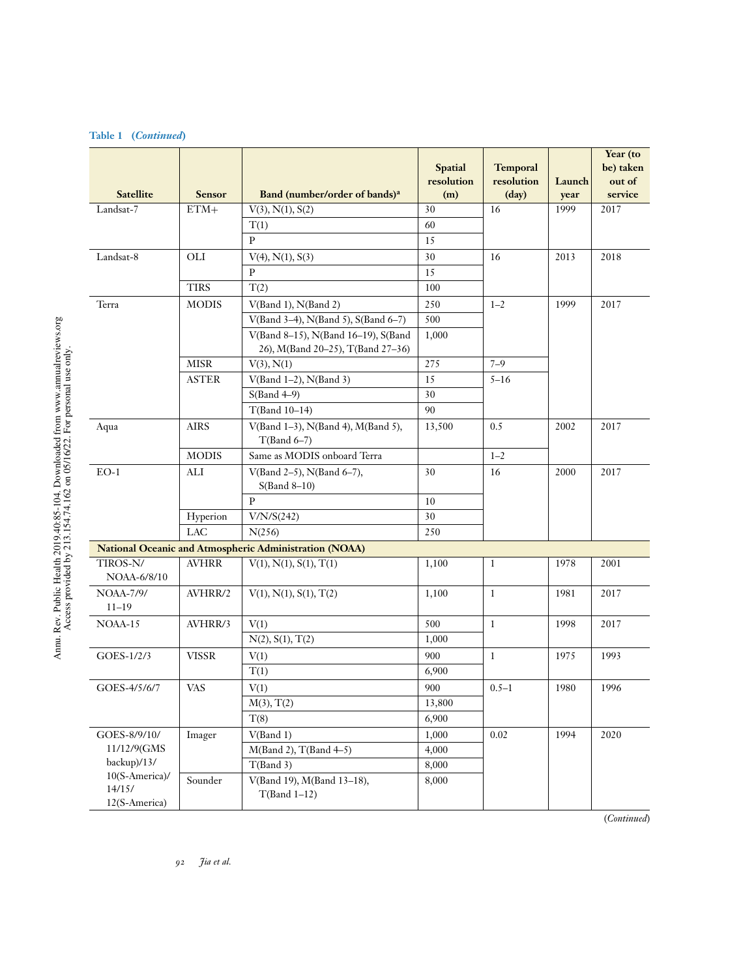## **Table 1 (***Continued***)**

| <b>Satellite</b>                          | <b>Sensor</b> | Band (number/order of bands) <sup>a</sup>                                | <b>Spatial</b><br>resolution<br>(m) | <b>Temporal</b><br>resolution<br>$\text{(day)}$ | Launch<br>year | Year (to<br>be) taken<br>out of<br>service |
|-------------------------------------------|---------------|--------------------------------------------------------------------------|-------------------------------------|-------------------------------------------------|----------------|--------------------------------------------|
| Landsat-7                                 | $ETM+$        | $V(3)$ , $N(1)$ , $S(2)$                                                 | 30                                  | 16                                              | 1999           | 2017                                       |
|                                           |               | T(1)                                                                     | 60                                  |                                                 |                |                                            |
|                                           |               | $\mathbf{P}$                                                             | 15                                  |                                                 |                |                                            |
| Landsat-8                                 | OLI           | $V(4)$ , $N(1)$ , $S(3)$                                                 | 30                                  | 16                                              | 2013           | 2018                                       |
|                                           |               | P                                                                        | 15                                  |                                                 |                |                                            |
|                                           | <b>TIRS</b>   | T(2)                                                                     | 100                                 |                                                 |                |                                            |
| Terra                                     | <b>MODIS</b>  | $V(Band 1)$ , $N(Band 2)$                                                | 250                                 | $1 - 2$                                         | 1999           | 2017                                       |
|                                           |               | V(Band 3-4), N(Band 5), S(Band 6-7)                                      | 500                                 |                                                 |                |                                            |
|                                           |               | V(Band 8-15), N(Band 16-19), S(Band<br>26), M(Band 20-25), T(Band 27-36) | 1,000                               |                                                 |                |                                            |
|                                           | <b>MISR</b>   | V(3), N(1)                                                               | 275                                 | $7 - 9$                                         |                |                                            |
|                                           | <b>ASTER</b>  | $V(Band 1-2)$ , $N(Band 3)$                                              | 15                                  | $5 - 16$                                        |                |                                            |
|                                           |               | $S(Band 4-9)$                                                            | 30                                  |                                                 |                |                                            |
|                                           |               | T(Band 10-14)                                                            | 90                                  |                                                 |                |                                            |
| Aqua                                      | <b>AIRS</b>   | V(Band 1-3), N(Band 4), M(Band 5),<br>$T(Band 6-7)$                      | 13,500                              | 0.5                                             | 2002           | 2017                                       |
|                                           | <b>MODIS</b>  | Same as MODIS onboard Terra                                              |                                     | $1 - 2$                                         |                |                                            |
| $EO-1$                                    | ALI           | V(Band 2-5), N(Band 6-7),<br>$S(Band 8-10)$                              | 30                                  | 16                                              | 2000           | 2017                                       |
|                                           |               | $\, {\bf p}$                                                             | 10                                  |                                                 |                |                                            |
|                                           | Hyperion      | V/N/S(242)                                                               | 30                                  |                                                 |                |                                            |
|                                           | LAC           | N(256)                                                                   | 250                                 |                                                 |                |                                            |
|                                           |               | National Oceanic and Atmospheric Administration (NOAA)                   |                                     |                                                 |                |                                            |
| TIROS-N/<br>NOAA-6/8/10                   | <b>AVHRR</b>  | V(1), N(1), S(1), T(1)                                                   | 1,100                               | $\mathbf{1}$                                    | 1978           | 2001                                       |
| <b>NOAA-7/9/</b><br>$11 - 19$             | AVHRR/2       | V(1), N(1), S(1), T(2)                                                   | 1,100                               | 1                                               | 1981           | 2017                                       |
| NOAA-15                                   | AVHRR/3       | V(1)                                                                     | 500                                 | $\mathbf{1}$                                    | 1998           | 2017                                       |
|                                           |               | N(2), S(1), T(2)                                                         | 1,000                               |                                                 |                |                                            |
| GOES-1/2/3                                | <b>VISSR</b>  | V(1)                                                                     | 900                                 | $\mathbf{1}$                                    | 1975           | 1993                                       |
|                                           |               | T(1)                                                                     | 6,900                               |                                                 |                |                                            |
| GOES-4/5/6/7                              | <b>VAS</b>    | V(1)                                                                     | 900                                 | $0.5 - 1$                                       | 1980           | 1996                                       |
|                                           |               | M(3), T(2)                                                               | 13,800                              |                                                 |                |                                            |
|                                           |               | T(8)                                                                     | 6,900                               |                                                 |                |                                            |
| GOES-8/9/10/                              | Imager        | V(Band 1)                                                                | 1,000                               | 0.02                                            | 1994           | 2020                                       |
| 11/12/9(GMS                               |               | M(Band 2), T(Band 4-5)                                                   | 4,000                               |                                                 |                |                                            |
| backup)/13/                               |               | T(Band 3)                                                                | 8,000                               |                                                 |                |                                            |
| 10(S-America)/<br>14/15/<br>12(S-America) | Sounder       | V(Band 19), M(Band 13-18),<br>$T(Band 1-12)$                             | 8,000                               |                                                 |                |                                            |

(*Continued*)

Annu. Rev. Public Health 2019.40:85-104. Downloaded from www.annualreviews.org<br>Access provided by 213.154.74.162 on 05/16/22. For personal use only. Annu. Rev. Public Health 2019.40:85-104. Downloaded from www.annualreviews.org Access provided by 213.154.74.162 on 05/16/22. For personal use only.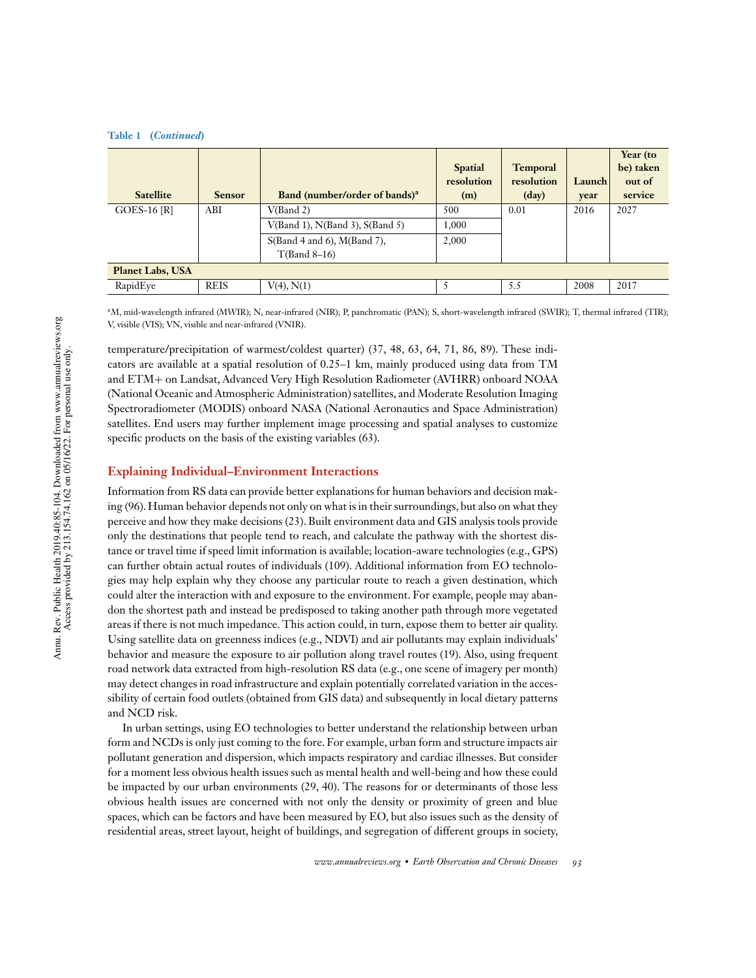| <b>Table 1</b> | <i>(Continued)</i> |
|----------------|--------------------|
|                |                    |

| <b>Satellite</b>        | <b>Sensor</b> | Band (number/order of bands) <sup>a</sup> | <b>Spatial</b><br>resolution<br>(m) | <b>Temporal</b><br>resolution<br>$\text{(day)}$ | Launch<br>year | Year (to<br>be) taken<br>out of<br>service |
|-------------------------|---------------|-------------------------------------------|-------------------------------------|-------------------------------------------------|----------------|--------------------------------------------|
| $GOES-16 [R]$           | ABI           | V(Band 2)                                 | 500                                 | 0.01                                            | 2016           | 2027                                       |
|                         |               | $V(Band 1)$ , $N(Band 3)$ , $S(Band 5)$   | 1,000                               |                                                 |                |                                            |
|                         |               | $S(Band 4 and 6)$ , $M(Band 7)$ ,         | 2,000                               |                                                 |                |                                            |
|                         |               | $T(Band 8-16)$                            |                                     |                                                 |                |                                            |
| <b>Planet Labs, USA</b> |               |                                           |                                     |                                                 |                |                                            |
| RapidEye                | <b>REIS</b>   | $V(4)$ , $N(1)$                           |                                     | 5.5                                             | 2008           | 2017                                       |

<sup>a</sup>M, mid-wavelength infrared (MWIR); N, near-infrared (NIR); P, panchromatic (PAN); S, short-wavelength infrared (SWIR); T, thermal infrared (TIR); V, visible (VIS); VN, visible and near-infrared (VNIR).

temperature/precipitation of warmest/coldest quarter) (37, 48, 63, 64, 71, 86, 89). These indicators are available at a spatial resolution of 0.25–1 km, mainly produced using data from TM and ETM+ on Landsat, Advanced Very High Resolution Radiometer (AVHRR) onboard NOAA (National Oceanic and Atmospheric Administration) satellites, and Moderate Resolution Imaging Spectroradiometer (MODIS) onboard NASA (National Aeronautics and Space Administration) satellites. End users may further implement image processing and spatial analyses to customize specific products on the basis of the existing variables (63).

#### **Explaining Individual–Environment Interactions**

Information from RS data can provide better explanations for human behaviors and decision making (96). Human behavior depends not only on what is in their surroundings, but also on what they perceive and how they make decisions (23). Built environment data and GIS analysis tools provide only the destinations that people tend to reach, and calculate the pathway with the shortest distance or travel time if speed limit information is available; location-aware technologies (e.g., GPS) can further obtain actual routes of individuals (109). Additional information from EO technologies may help explain why they choose any particular route to reach a given destination, which could alter the interaction with and exposure to the environment. For example, people may abandon the shortest path and instead be predisposed to taking another path through more vegetated areas if there is not much impedance. This action could, in turn, expose them to better air quality. Using satellite data on greenness indices (e.g., NDVI) and air pollutants may explain individuals' behavior and measure the exposure to air pollution along travel routes (19). Also, using frequent road network data extracted from high-resolution RS data (e.g., one scene of imagery per month) may detect changes in road infrastructure and explain potentially correlated variation in the accessibility of certain food outlets (obtained from GIS data) and subsequently in local dietary patterns and NCD risk.

In urban settings, using EO technologies to better understand the relationship between urban form and NCDs is only just coming to the fore. For example, urban form and structure impacts air pollutant generation and dispersion, which impacts respiratory and cardiac illnesses. But consider for a moment less obvious health issues such as mental health and well-being and how these could be impacted by our urban environments (29, 40). The reasons for or determinants of those less obvious health issues are concerned with not only the density or proximity of green and blue spaces, which can be factors and have been measured by EO, but also issues such as the density of residential areas, street layout, height of buildings, and segregation of different groups in society,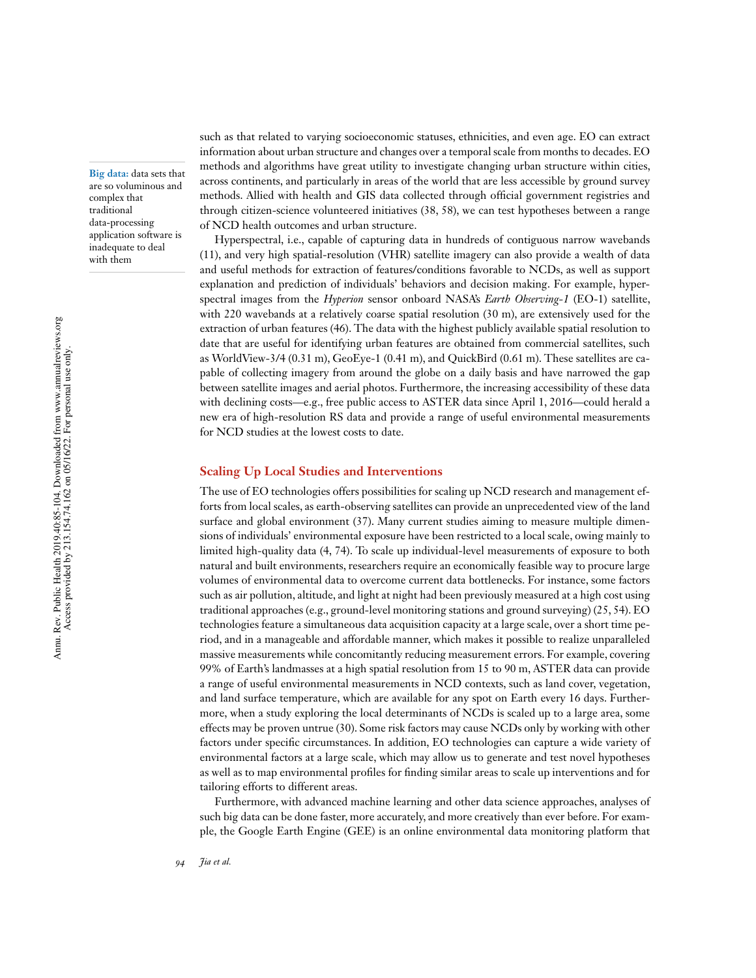**Big data:** data sets that are so voluminous and complex that traditional data-processing application software is inadequate to deal with them

such as that related to varying socioeconomic statuses, ethnicities, and even age. EO can extract information about urban structure and changes over a temporal scale from months to decades.EO methods and algorithms have great utility to investigate changing urban structure within cities, across continents, and particularly in areas of the world that are less accessible by ground survey methods. Allied with health and GIS data collected through official government registries and through citizen-science volunteered initiatives (38, 58), we can test hypotheses between a range of NCD health outcomes and urban structure.

Hyperspectral, i.e., capable of capturing data in hundreds of contiguous narrow wavebands (11), and very high spatial-resolution (VHR) satellite imagery can also provide a wealth of data and useful methods for extraction of features/conditions favorable to NCDs, as well as support explanation and prediction of individuals' behaviors and decision making. For example, hyperspectral images from the *Hyperion* sensor onboard NASA's *Earth Observing-1* (EO-1) satellite, with 220 wavebands at a relatively coarse spatial resolution (30 m), are extensively used for the extraction of urban features (46). The data with the highest publicly available spatial resolution to date that are useful for identifying urban features are obtained from commercial satellites, such as WorldView-3/4 (0.31 m), GeoEye-1 (0.41 m), and QuickBird (0.61 m). These satellites are capable of collecting imagery from around the globe on a daily basis and have narrowed the gap between satellite images and aerial photos. Furthermore, the increasing accessibility of these data with declining costs—e.g., free public access to ASTER data since April 1, 2016—could herald a new era of high-resolution RS data and provide a range of useful environmental measurements for NCD studies at the lowest costs to date.

#### **Scaling Up Local Studies and Interventions**

The use of EO technologies offers possibilities for scaling up NCD research and management efforts from local scales, as earth-observing satellites can provide an unprecedented view of the land surface and global environment (37). Many current studies aiming to measure multiple dimensions of individuals' environmental exposure have been restricted to a local scale, owing mainly to limited high-quality data (4, 74). To scale up individual-level measurements of exposure to both natural and built environments, researchers require an economically feasible way to procure large volumes of environmental data to overcome current data bottlenecks. For instance, some factors such as air pollution, altitude, and light at night had been previously measured at a high cost using traditional approaches (e.g., ground-level monitoring stations and ground surveying) (25, 54). EO technologies feature a simultaneous data acquisition capacity at a large scale, over a short time period, and in a manageable and affordable manner, which makes it possible to realize unparalleled massive measurements while concomitantly reducing measurement errors. For example, covering 99% of Earth's landmasses at a high spatial resolution from 15 to 90 m, ASTER data can provide a range of useful environmental measurements in NCD contexts, such as land cover, vegetation, and land surface temperature, which are available for any spot on Earth every 16 days. Furthermore, when a study exploring the local determinants of NCDs is scaled up to a large area, some effects may be proven untrue (30). Some risk factors may cause NCDs only by working with other factors under specific circumstances. In addition, EO technologies can capture a wide variety of environmental factors at a large scale, which may allow us to generate and test novel hypotheses as well as to map environmental profiles for finding similar areas to scale up interventions and for tailoring efforts to different areas.

Furthermore, with advanced machine learning and other data science approaches, analyses of such big data can be done faster, more accurately, and more creatively than ever before. For example, the Google Earth Engine (GEE) is an online environmental data monitoring platform that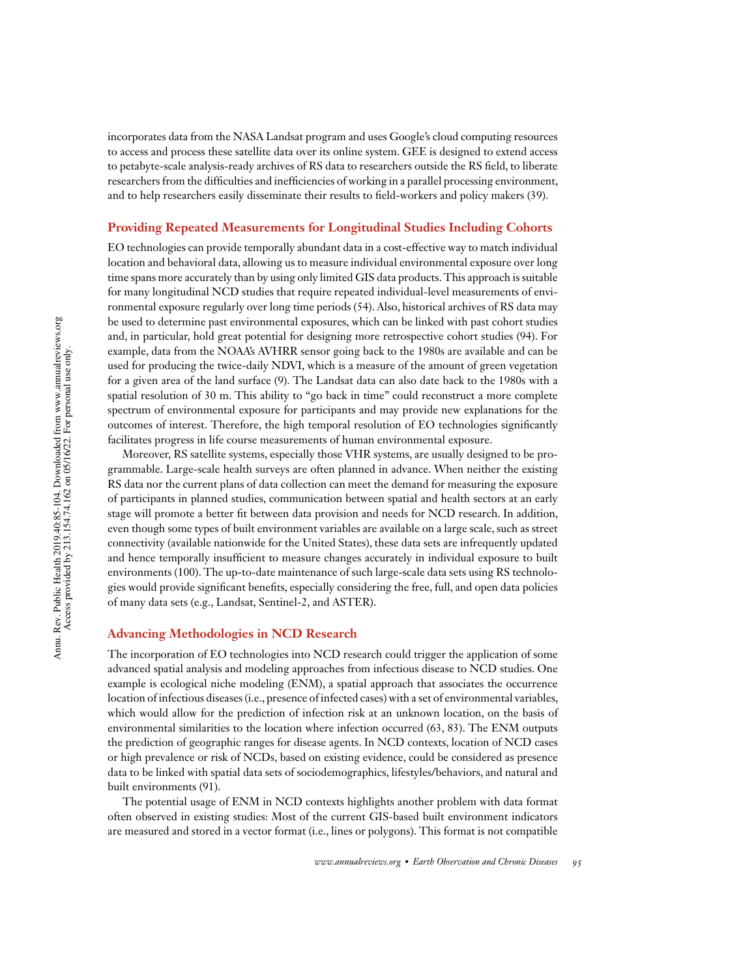incorporates data from the NASA Landsat program and uses Google's cloud computing resources to access and process these satellite data over its online system. GEE is designed to extend access to petabyte-scale analysis-ready archives of RS data to researchers outside the RS field, to liberate researchers from the difficulties and inefficiencies of working in a parallel processing environment, and to help researchers easily disseminate their results to field-workers and policy makers (39).

#### **Providing Repeated Measurements for Longitudinal Studies Including Cohorts**

EO technologies can provide temporally abundant data in a cost-effective way to match individual location and behavioral data, allowing us to measure individual environmental exposure over long time spans more accurately than by using only limited GIS data products.This approach is suitable for many longitudinal NCD studies that require repeated individual-level measurements of environmental exposure regularly over long time periods (54). Also, historical archives of RS data may be used to determine past environmental exposures, which can be linked with past cohort studies and, in particular, hold great potential for designing more retrospective cohort studies (94). For example, data from the NOAA's AVHRR sensor going back to the 1980s are available and can be used for producing the twice-daily NDVI, which is a measure of the amount of green vegetation for a given area of the land surface (9). The Landsat data can also date back to the 1980s with a spatial resolution of 30 m. This ability to "go back in time" could reconstruct a more complete spectrum of environmental exposure for participants and may provide new explanations for the outcomes of interest. Therefore, the high temporal resolution of EO technologies significantly facilitates progress in life course measurements of human environmental exposure.

Moreover, RS satellite systems, especially those VHR systems, are usually designed to be programmable. Large-scale health surveys are often planned in advance. When neither the existing RS data nor the current plans of data collection can meet the demand for measuring the exposure of participants in planned studies, communication between spatial and health sectors at an early stage will promote a better fit between data provision and needs for NCD research. In addition, even though some types of built environment variables are available on a large scale, such as street connectivity (available nationwide for the United States), these data sets are infrequently updated and hence temporally insufficient to measure changes accurately in individual exposure to built environments (100). The up-to-date maintenance of such large-scale data sets using RS technologies would provide significant benefits, especially considering the free, full, and open data policies of many data sets (e.g., Landsat, Sentinel-2, and ASTER).

#### **Advancing Methodologies in NCD Research**

The incorporation of EO technologies into NCD research could trigger the application of some advanced spatial analysis and modeling approaches from infectious disease to NCD studies. One example is ecological niche modeling (ENM), a spatial approach that associates the occurrence location of infectious diseases(i.e., presence of infected cases) with a set of environmental variables, which would allow for the prediction of infection risk at an unknown location, on the basis of environmental similarities to the location where infection occurred (63, 83). The ENM outputs the prediction of geographic ranges for disease agents. In NCD contexts, location of NCD cases or high prevalence or risk of NCDs, based on existing evidence, could be considered as presence data to be linked with spatial data sets of sociodemographics, lifestyles/behaviors, and natural and built environments (91).

The potential usage of ENM in NCD contexts highlights another problem with data format often observed in existing studies: Most of the current GIS-based built environment indicators are measured and stored in a vector format (i.e., lines or polygons). This format is not compatible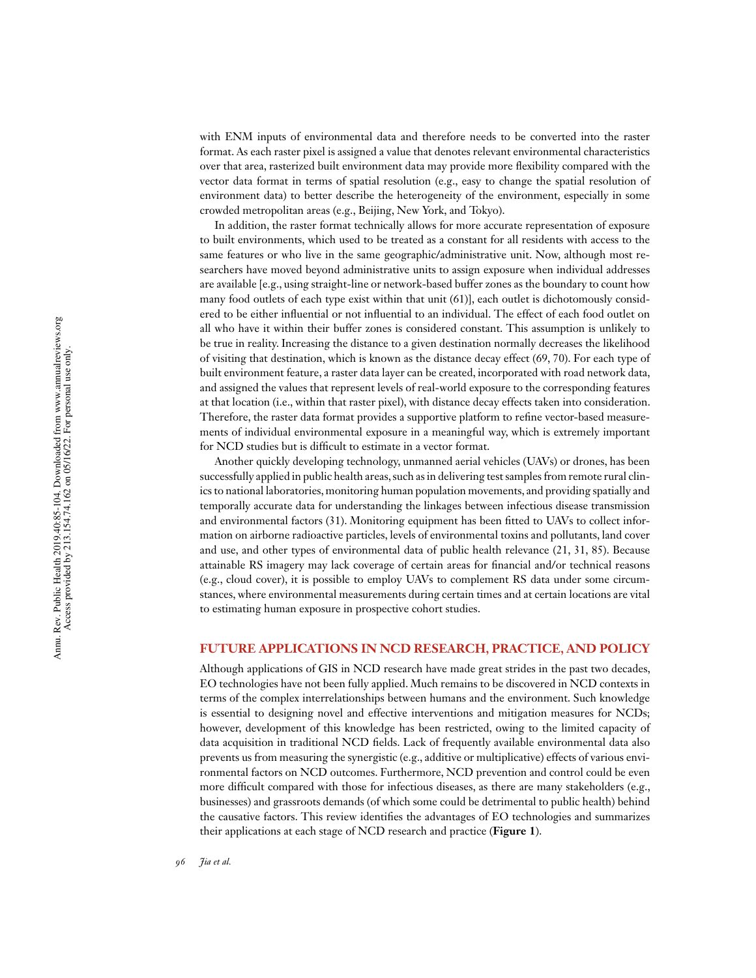with ENM inputs of environmental data and therefore needs to be converted into the raster format. As each raster pixel is assigned a value that denotes relevant environmental characteristics over that area, rasterized built environment data may provide more flexibility compared with the vector data format in terms of spatial resolution (e.g., easy to change the spatial resolution of environment data) to better describe the heterogeneity of the environment, especially in some crowded metropolitan areas (e.g., Beijing, New York, and Tokyo).

In addition, the raster format technically allows for more accurate representation of exposure to built environments, which used to be treated as a constant for all residents with access to the same features or who live in the same geographic/administrative unit. Now, although most researchers have moved beyond administrative units to assign exposure when individual addresses are available [e.g., using straight-line or network-based buffer zones as the boundary to count how many food outlets of each type exist within that unit (61)], each outlet is dichotomously considered to be either influential or not influential to an individual. The effect of each food outlet on all who have it within their buffer zones is considered constant. This assumption is unlikely to be true in reality. Increasing the distance to a given destination normally decreases the likelihood of visiting that destination, which is known as the distance decay effect (69, 70). For each type of built environment feature, a raster data layer can be created, incorporated with road network data, and assigned the values that represent levels of real-world exposure to the corresponding features at that location (i.e., within that raster pixel), with distance decay effects taken into consideration. Therefore, the raster data format provides a supportive platform to refine vector-based measurements of individual environmental exposure in a meaningful way, which is extremely important for NCD studies but is difficult to estimate in a vector format.

Another quickly developing technology, unmanned aerial vehicles (UAVs) or drones, has been successfully applied in public health areas, such as in delivering test samples from remote rural clinics to national laboratories, monitoring human population movements, and providing spatially and temporally accurate data for understanding the linkages between infectious disease transmission and environmental factors  $(31)$ . Monitoring equipment has been fitted to UAVs to collect information on airborne radioactive particles, levels of environmental toxins and pollutants, land cover and use, and other types of environmental data of public health relevance (21, 31, 85). Because attainable RS imagery may lack coverage of certain areas for financial and/or technical reasons (e.g., cloud cover), it is possible to employ UAVs to complement RS data under some circumstances, where environmental measurements during certain times and at certain locations are vital to estimating human exposure in prospective cohort studies.

#### **FUTURE APPLICATIONS IN NCD RESEARCH, PRACTICE, AND POLICY**

Although applications of GIS in NCD research have made great strides in the past two decades, EO technologies have not been fully applied. Much remains to be discovered in NCD contexts in terms of the complex interrelationships between humans and the environment. Such knowledge is essential to designing novel and effective interventions and mitigation measures for NCDs; however, development of this knowledge has been restricted, owing to the limited capacity of data acquisition in traditional NCD fields. Lack of frequently available environmental data also prevents us from measuring the synergistic (e.g., additive or multiplicative) effects of various environmental factors on NCD outcomes. Furthermore, NCD prevention and control could be even more difficult compared with those for infectious diseases, as there are many stakeholders (e.g., businesses) and grassroots demands (of which some could be detrimental to public health) behind the causative factors. This review identifies the advantages of EO technologies and summarizes their applications at each stage of NCD research and practice (**Figure 1**).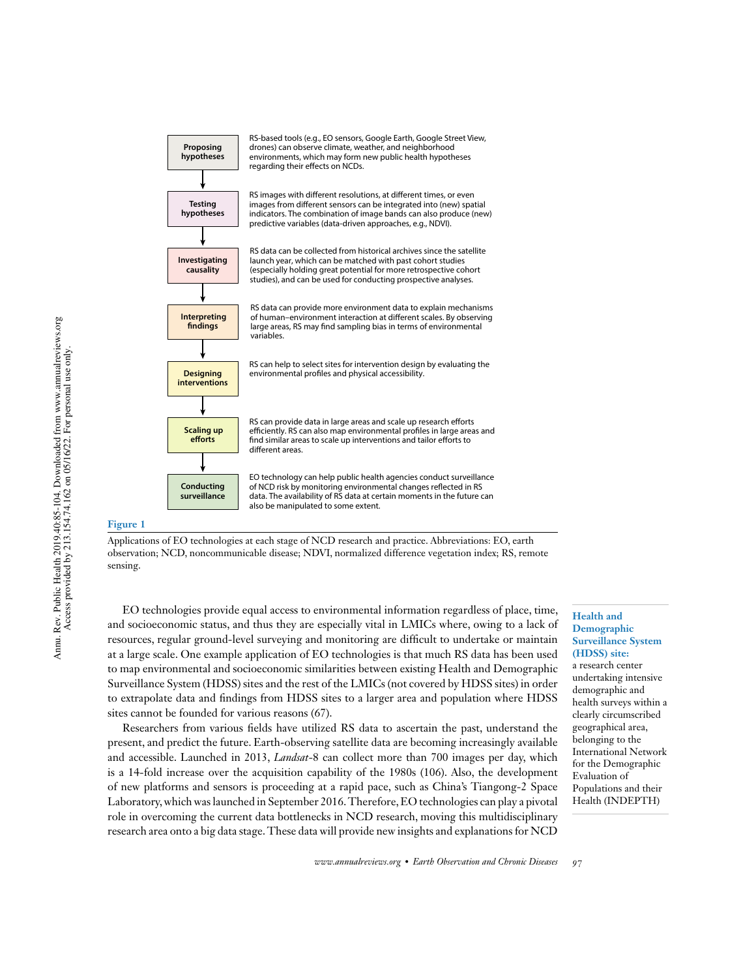

#### **Figure 1**

Applications of EO technologies at each stage of NCD research and practice. Abbreviations: EO, earth observation; NCD, noncommunicable disease; NDVI, normalized difference vegetation index; RS, remote sensing.

EO technologies provide equal access to environmental information regardless of place, time, and socioeconomic status, and thus they are especially vital in LMICs where, owing to a lack of resources, regular ground-level surveying and monitoring are difficult to undertake or maintain at a large scale. One example application of EO technologies is that much RS data has been used to map environmental and socioeconomic similarities between existing Health and Demographic Surveillance System (HDSS) sites and the rest of the LMICs (not covered by HDSS sites) in order to extrapolate data and findings from HDSS sites to a larger area and population where HDSS sites cannot be founded for various reasons (67).

Researchers from various fields have utilized RS data to ascertain the past, understand the present, and predict the future. Earth-observing satellite data are becoming increasingly available and accessible. Launched in 2013, *Landsat*-8 can collect more than 700 images per day, which is a 14-fold increase over the acquisition capability of the 1980s (106). Also, the development of new platforms and sensors is proceeding at a rapid pace, such as China's Tiangong-2 Space Laboratory,which waslaunched in September 2016.Therefore,EO technologies can play a pivotal role in overcoming the current data bottlenecks in NCD research, moving this multidisciplinary research area onto a big data stage.These data will provide new insights and explanations for NCD **Health and Demographic Surveillance System (HDSS) site:** a research center undertaking intensive demographic and health surveys within a clearly circumscribed geographical area, belonging to the International Network for the Demographic Evaluation of Populations and their Health (INDEPTH)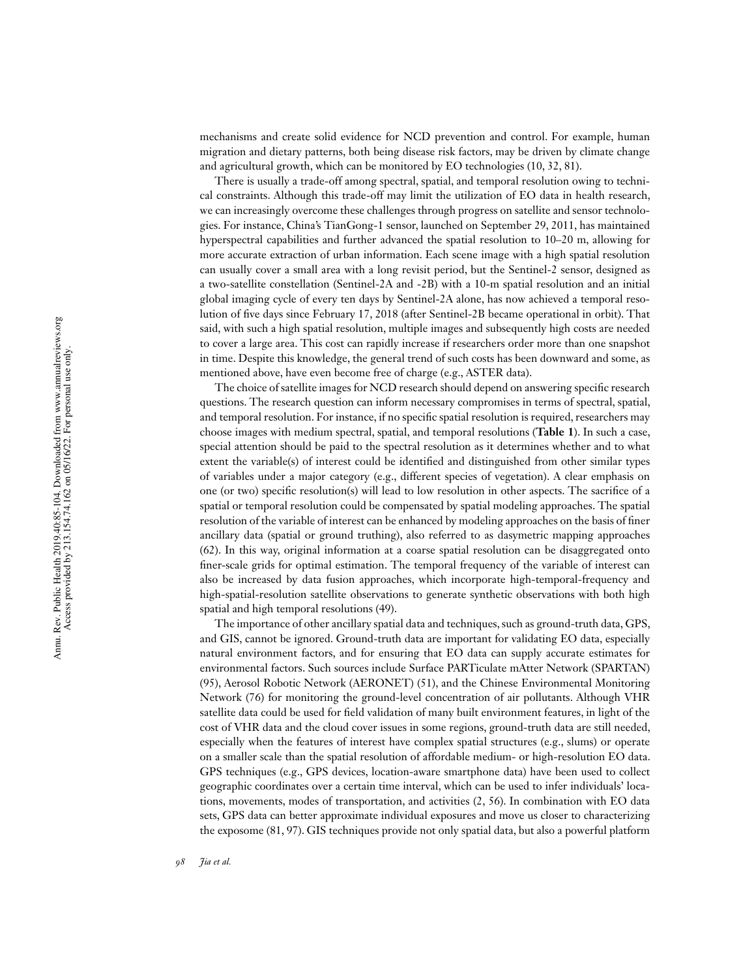mechanisms and create solid evidence for NCD prevention and control. For example, human migration and dietary patterns, both being disease risk factors, may b e driven by climate change and agricultural growth, which can be monitored b y E O technologies (10, 32, 81).

There i s usually a trade-off among spectral, spatial, and temporal resolution owing t o technical constraints. Although this trade-off may limit the utilization of EO data in health research, we can increasingly overcome these challenges through progress o n satellite and sensor technologies. For instance, China's TianGong-1 sensor, launched on September 29, 2011, has maintained hyperspectral capabilities and further advanced the spatial resolution to 10–20 m, allowing for more accurate extraction of urban information. Each scene image with a high spatial resolution can usually cover a small area with a long revisit period, but the Sentinel-2 sensor , designed as a two-satellite constellation (Sentinel-2A and -2B) with a 10-m spatial resolution and a n initial global imaging cycle o f every ten days by Sentinel-2A alone, has now achieved a temporal resolution of five days since February 17, 2018 (after Sentinel-2B became operational in orbit). That said, with such a high spatial resolution, multiple images and subsequently high costs are needed to cover a large area. This cost can rapidly increase if researchers order more than one snapshot in time. Despite this knowledge, the general trend of such costs has been downward and some, a s mentioned above, have even become free of charge (e.g., ASTER data).

The choice of satellite images for NCD research should depend on answering specific research questions. The research question can inform necessary compromises i n terms of spectral, spatial, and temporal resolution. For instance, if no specific spatial resolution is required, researchers may choose images with medium spectral, spatial, and temporal resolutions (**Table 1**). In such a case, special attention should be paid to the spectral resolution as it determines whether and to what extent the variable(s) of interest could be identified and distinguished from other similar types of variables under a major category (e.g., different species o f vegetation). A clear emphasis on one (or two) specific resolution(s) will lead to low resolution in other aspects. The sacrifice of a spatial o r temporal resolution could be compensated b y spatial modeling approaches. The spatial resolution of the variable of interest can be enhanced by modeling approaches on the basis of finer ancillary data (spatial or ground truthing), also referred to as dasymetric mapping approaches (62). I n this way, original information at a coarse spatial resolution can b e disaggregated onto finer-scale grids for optimal estimation. The temporal frequency of the variable of interest can also be increased b y data fusion approaches, which incorporate high-temporal-frequency and high-spatial-resolution satellite observations t o generate synthetic observations with both high spatial and high temporal resolutions (49).

The importance o f other ancillary spatial data and techniques,such as ground-truth data, GPS, and GIS, cannot b e ignored. Ground-truth data are important for validating EO data, especially natural environment factors, and for ensuring that EO data can supply accurate estimates for environmental factors. Such sources include Surface PA RTiculate mAtter Network (SPA RTAN) (95), Aerosol Robotic Network (AER ONET) (51), and the Chinese Environmental Monitoring Network (76) for monitoring the ground-level concentration of air pollutants. Although VHR satellite data could be used for field validation of many built environment features, in light of the cost of VHR data and the cloud cover issues in some regions, ground-truth data are still needed, especially when the features o f interest have complex spatial structures (e.g., slums) or operate on a smaller scale than the spatial resolution of affordable medium- or high-resolution EO data. GPS techniques (e.g., GPS devices, location-aware smartphone data) have been used to collect geographic coordinates over a certain time interval, which can b e used t o infer individuals' locations, movements, modes of transportation, and activities (2, 56). In combination with EO data sets, GPS data can better approximate individual exposures and move u s closer to characterizing the exposome (81, 97). GIS techniques provide not only spatial data, but also a powerful platform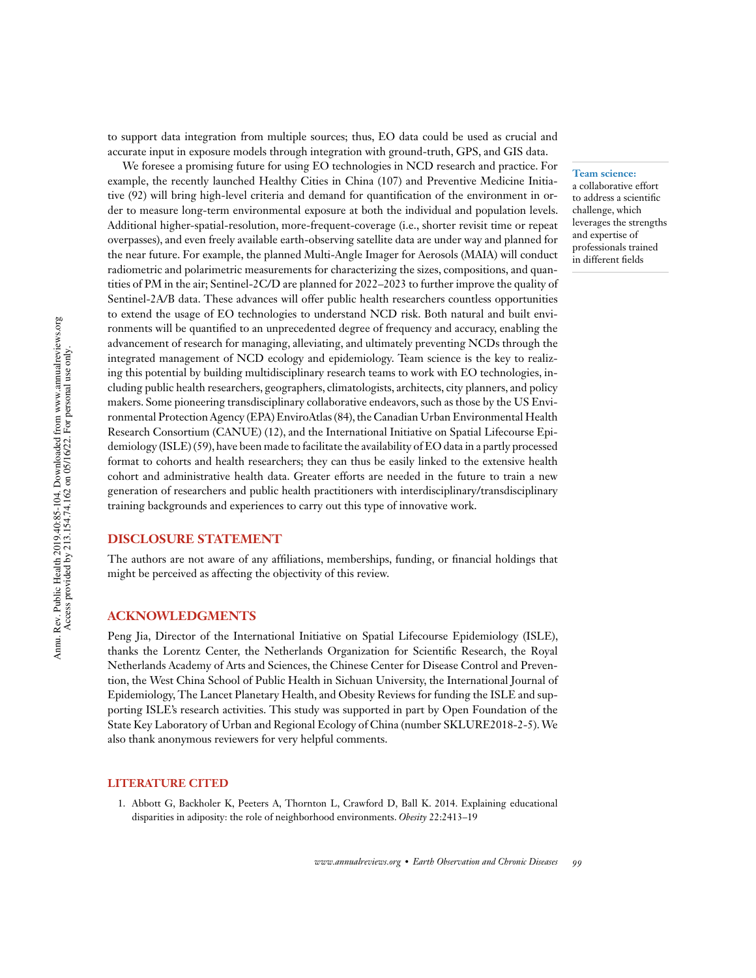to support data integration from multiple sources; thus, EO data could be used as crucial and accurate input in exposure models through integration with ground-truth, GPS, and GIS data.

We foresee a promising future for using EO technologies in NCD research and practice. For example, the recently launched Healthy Cities in China (107) and Preventive Medicine Initiative (92) will bring high-level criteria and demand for quantification of the environment in order to measure long-term environmental exposure at both the individual and population levels. Additional higher-spatial-resolution, more-frequent-coverage (i.e., shorter revisit time or repeat overpasses), and even freely available earth-observing satellite data are under way and planned for the near future. For example, the planned Multi-Angle Imager for Aerosols (MAIA) will conduct radiometric and polarimetric measurements for characterizing the sizes, compositions, and quantities of PM in the air; Sentinel-2C/D are planned for 2022–2023 to further improve the quality of Sentinel-2A/B data. These advances will offer public health researchers countless opportunities to extend the usage of EO technologies to understand NCD risk. Both natural and built environments will be quantified to an unprecedented degree of frequency and accuracy, enabling the advancement of research for managing, alleviating, and ultimately preventing NCDs through the integrated management of NCD ecology and epidemiology. Team science is the key to realizing this potential by building multidisciplinary research teams to work with EO technologies, including public health researchers, geographers, climatologists, architects, city planners, and policy makers. Some pioneering transdisciplinary collaborative endeavors, such as those by the US Environmental Protection Agency (EPA) EnviroAtlas (84), the Canadian Urban Environmental Health Research Consortium (CANUE) (12), and the International Initiative on Spatial Lifecourse Epidemiology (ISLE) (59), have been made to facilitate the availability of EO data in a partly processed format to cohorts and health researchers; they can thus be easily linked to the extensive health cohort and administrative health data. Greater efforts are needed in the future to train a new generation of researchers and public health practitioners with interdisciplinary/transdisciplinary training backgrounds and experiences to carry out this type of innovative work.

#### **DISCLOSURE STATEMENT**

The authors are not aware of any affiliations, memberships, funding, or financial holdings that might be perceived as affecting the objectivity of this review.

#### **ACKNOWLEDGMENTS**

Peng Jia, Director of the International Initiative on Spatial Lifecourse Epidemiology (ISLE), thanks the Lorentz Center, the Netherlands Organization for Scientific Research, the Royal Netherlands Academy of Arts and Sciences, the Chinese Center for Disease Control and Prevention, the West China School of Public Health in Sichuan University, the International Journal of Epidemiology, The Lancet Planetary Health, and Obesity Reviews for funding the ISLE and supporting ISLE's research activities. This study was supported in part by Open Foundation of the State Key Laboratory of Urban and Regional Ecology of China (number SKLURE2018-2-5).We also thank anonymous reviewers for very helpful comments.

#### **LITERATURE CITED**

1. Abbott G, Backholer K, Peeters A, Thornton L, Crawford D, Ball K. 2014. Explaining educational disparities in adiposity: the role of neighborhood environments. *Obesity* 22:2413–19

**Team science:** a collaborative effort to address a scientific challenge, which leverages the strengths and expertise of professionals trained in different fields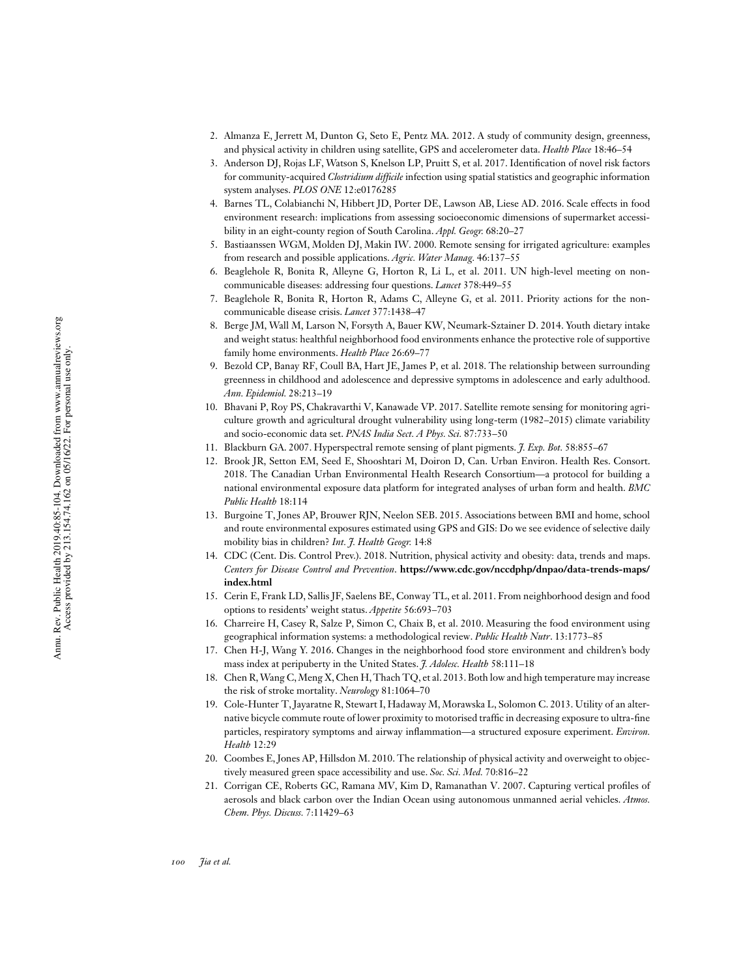- 2. Almanza E , Jerrett M, Dunton G, Seto E, Pentz MA. 2012. A study of community design, greenness, and physical activity in children using satellite, GPS and accelerometer data. *Health Place* 18:46–54
- 3. Anderson DJ, Rojas LF, Watson S, Knelson LP, Pruitt S, et al. 2017. Identification of novel risk factors for community-acquired *Clostridium difcile* infection using spatial statistics and geographic information system analyses. *PLOS ONE* 12:e0176285
- 4. Barnes TL, Colabianchi N , Hibbert JD, Porter DE, Lawson AB, Liese AD. 2016. Scale effects in food environment research: implications from assessing socioeconomic dimensions of supermarket accessibility in an eight-county region of South Carolina. *Appl. Geogr.* 68:20–27
- 5. Bastiaanssen WGM, Molden DJ, Makin IW. 2000. Remote sensing for irrigated agriculture: examples from research and possible applications. *Agric. Water Manag .* 46:137–55
- 6. Beaglehole R, Bonita R, Alleyne G , Horton R , L i L , e t al. 2011. UN high-level meeting on noncommunicable diseases: addressing four questions. *Lancet* 378:449–55
- 7. Beaglehole R, Bonita R, Horton R, Adams C , Alleyne G , e t al. 2011. Priority actions for the noncommunicable disease crisis. *Lancet* 377:1438–47
- 8. Berge JM, Wall M, Larson N, Forsyth A , Bauer KW, Neumark-Sztainer D. 2014. Youth dietary intake and weight status: healthful neighborhood food environments enhance the protective role of supportive family home environments. *Health Place* 26:69–77
- 9. Bezold CP, Banay RF, Coull BA, Hart JE, James P , e t al. 2018. The relationship between surrounding greenness in childhood and adolescence and depressive symptoms in adolescence and early adulthood. *Ann. Epidemiol.* 28:213–19
- 10. Bhavani P , Roy PS, Chakravarthi V , Kanawade VP. 2017. Satellite remote sensing for monitoring agriculture growth and agricultural drought vulnerability using long-term (1982–2015) climate variability and socio-economic data set. *PNAS India Sect. A Phys. Sci.* 87:733–50
- 11. Blackburn GA. 2007. Hyperspectral remote sensing of plant pigments. *J. Exp . Bot.* 58:855–67
- 12. Brook JR, Setton EM, Seed E, Shooshtari M , Doiron D , Can. Urban Environ. Health Res. Consort. 2018. The Canadian Urban Environmental Health Research Consortium—a protocol for building a national environmental exposure data platform for integrated analyses of urban form and health. *BMC Public Health* 18:114
- 13. Burgoine T, Jones AP, Brouwer RJN, Neelon SEB. 2015. Associations between BMI and home, school and route environmental exposures estimated using GPS and GIS: D o w e see evidence o f selective daily mobility bias in children? *Int. J. Health Geogr.* 14:8
- 14. CDC (Cent. Dis. Control Prev.). 2018. Nutrition, physical activity and obesity: data, trends and maps. *Centers for Disease Control and Pre vention* . **https://www.cdc.gov/nccdphp/dnpao/data-trends-maps/ index.html**
- 15. Cerin E , Frank LD, Sallis JF, Saelens BE, Conway TL, et al. 2011. From neighborhood design and food options to residents' weight status. *Appetite* 56:693–703
- 16. Charreire H , Casey R, Salze P, Simon C , Chaix B, et al. 2010. Measuring the food environment using geographical information systems: a methodological review. *Public Health Nutr* . 13:1773–85
- 17. Chen H-J, Wang Y. 2016. Changes i n the neighborhood food store environment and children's body mass index a t peripuberty i n the United States. *J. Adolesc. Health* 58:111–18
- 18. Chen R, Wang C,Meng X,Chen H,Thach TQ, e t al. 2013.Both low and high temperature may increase the risk o f stroke mortality. *Neurology* 81:1064–70
- 19. Cole-Hunter T, Jayaratne R, Stewart I, Hadaway M, Morawska L, Solomon C. 2013. Utility of an alternative bicycle commute route of lower proximity to motorised traffic in decreasing exposure to ultra-fine particles, respiratory symptoms and airway inammation—a structured exposure experiment. *Environ. Health* 12:29
- 20. Coombes E , Jones AP, Hillsdon M. 2010. The relationship o f physical activity and overweight to objectively measured green space accessibility and use. *Soc. Sci. Med.* 70:816–22
- 21. Corrigan CE, Roberts GC, Ramana MV, Kim D, Ramanathan V. 2007. Capturing vertical profiles of aerosols and black carbon over the Indian Ocean using autonomous unmanned aerial vehicles. *Atmos. Chem. Phys. Discuss.* 7:11429–63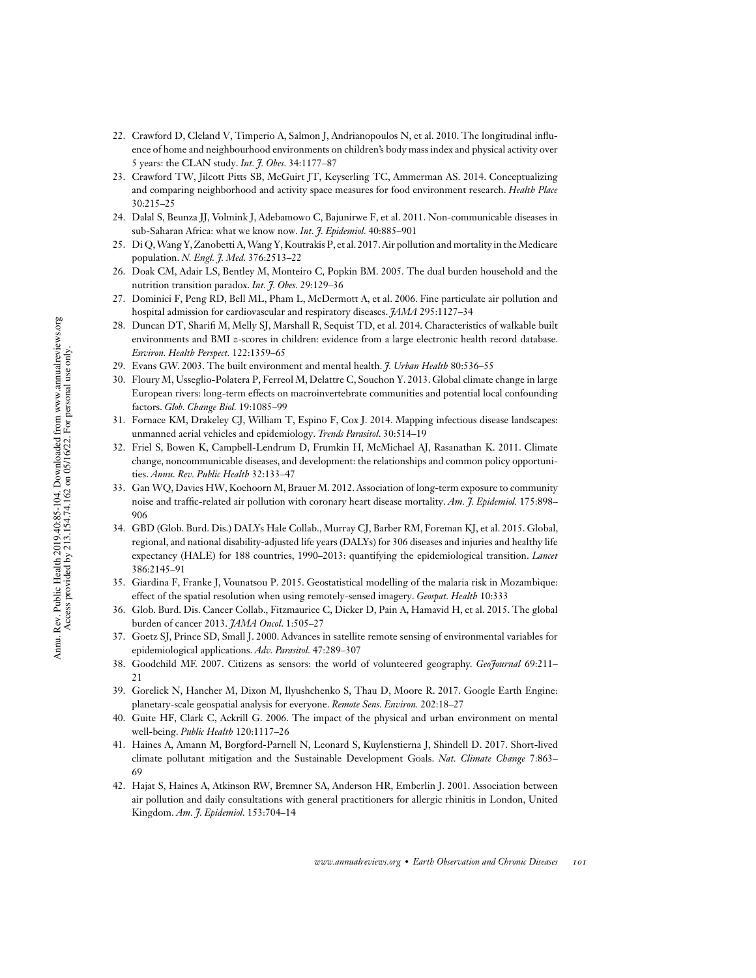- 22. Crawford D, Cleland V, Timperio A, Salmon J, Andrianopoulos N, et al. 2010. The longitudinal influence of home and neighbourhood environments on children's body mass index and physical activity over 5 years: the CLAN study. *Int. J. Obes.* 34:1177–87
- 23. Crawford TW, Jilcott Pitts SB, McGuirt JT, Keyserling TC, Ammerman AS. 2014. Conceptualizing and comparing neighborhood and activity space measures for food environment research. *Health Place* 30:215–25
- 24. Dalal S, Beunza JJ, Volmink J, Adebamowo C, Bajunirwe F, et al. 2011. Non-communicable diseases in sub-Saharan Africa: what we know now. *Int. J. Epidemiol.* 40:885–901
- 25. Di Q,Wang Y,Zanobetti A,Wang Y,Koutrakis P, et al. 2017.Air pollution and mortality in the Medicare population. *N. Engl. J. Med.* 376:2513–22
- 26. Doak CM, Adair LS, Bentley M, Monteiro C, Popkin BM. 2005. The dual burden household and the nutrition transition paradox. *Int. J. Obes.* 29:129–36
- 27. Dominici F, Peng RD, Bell ML, Pham L, McDermott A, et al. 2006. Fine particulate air pollution and hospital admission for cardiovascular and respiratory diseases. *JAMA* 295:1127–34
- 28. Duncan DT, Sharifi M, Melly SJ, Marshall R, Sequist TD, et al. 2014. Characteristics of walkable built environments and BMI *z*-scores in children: evidence from a large electronic health record database. *Environ. Health Perspect.* 122:1359–65
- 29. Evans GW. 2003. The built environment and mental health. *J. Urban Health* 80:536–55
- 30. Floury M, Usseglio-Polatera P, Ferreol M, Delattre C, Souchon Y. 2013. Global climate change in large European rivers: long-term effects on macroinvertebrate communities and potential local confounding factors. *Glob. Change Biol.* 19:1085–99
- 31. Fornace KM, Drakeley CJ, William T, Espino F, Cox J. 2014. Mapping infectious disease landscapes: unmanned aerial vehicles and epidemiology. *Trends Parasitol*. 30:514–19
- 32. Friel S, Bowen K, Campbell-Lendrum D, Frumkin H, McMichael AJ, Rasanathan K. 2011. Climate change, noncommunicable diseases, and development: the relationships and common policy opportunities. *Annu. Rev. Public Health* 32:133–47
- 33. Gan WQ, Davies HW, Koehoorn M, Brauer M. 2012. Association of long-term exposure to community noise and traffic-related air pollution with coronary heart disease mortality. *Am. J. Epidemiol*. 175:898– 906
- 34. GBD (Glob. Burd. Dis.) DALYs Hale Collab., Murray CJ, Barber RM, Foreman KJ, et al. 2015. Global, regional, and national disability-adjusted life years (DALYs) for 306 diseases and injuries and healthy life expectancy (HALE) for 188 countries, 1990–2013: quantifying the epidemiological transition. *Lancet* 386:2145–91
- 35. Giardina F, Franke J, Vounatsou P. 2015. Geostatistical modelling of the malaria risk in Mozambique: effect of the spatial resolution when using remotely-sensed imagery. *Geospat. Health* 10:333
- 36. Glob. Burd. Dis. Cancer Collab., Fitzmaurice C, Dicker D, Pain A, Hamavid H, et al. 2015. The global burden of cancer 2013. *JAMA Oncol*. 1:505–27
- 37. Goetz SJ, Prince SD, Small J. 2000. Advances in satellite remote sensing of environmental variables for epidemiological applications. *Adv. Parasitol.* 47:289–307
- 38. Goodchild MF. 2007. Citizens as sensors: the world of volunteered geography. *GeoJournal* 69:211– 21
- 39. Gorelick N, Hancher M, Dixon M, Ilyushchenko S, Thau D, Moore R. 2017. Google Earth Engine: planetary-scale geospatial analysis for everyone. *Remote Sens. Environ.* 202:18–27
- 40. Guite HF, Clark C, Ackrill G. 2006. The impact of the physical and urban environment on mental well-being. *Public Health* 120:1117–26
- 41. Haines A, Amann M, Borgford-Parnell N, Leonard S, Kuylenstierna J, Shindell D. 2017. Short-lived climate pollutant mitigation and the Sustainable Development Goals. *Nat. Climate Change* 7:863– 69
- 42. Hajat S, Haines A, Atkinson RW, Bremner SA, Anderson HR, Emberlin J. 2001. Association between air pollution and daily consultations with general practitioners for allergic rhinitis in London, United Kingdom. *Am. J. Epidemiol.* 153:704–14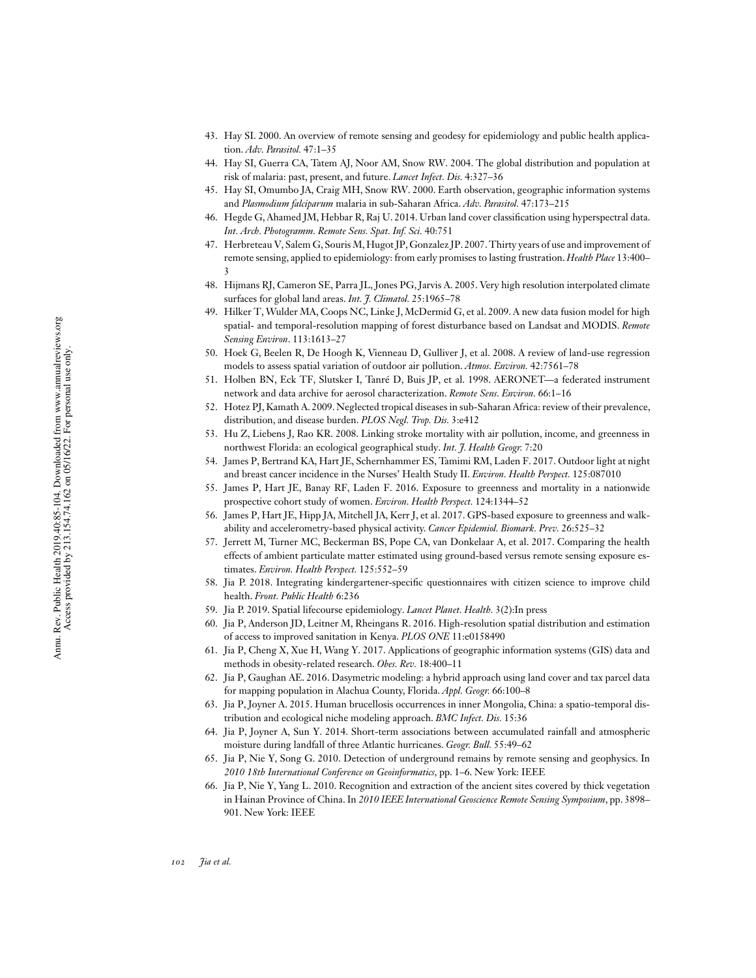- 43. Hay SI. 2000. An overview of remote sensing and geodesy for epidemiology and public health application. *Adv. Parasitol.* 47:1–35
- 44. Hay SI, Guerra CA, Tatem AJ, Noor AM, Snow RW. 2004. The global distribution and population a t risk of malaria: past, present, and future. *Lancet Infect. Dis.* 4:327–36
- 45. Hay SI, Omumbo JA, Craig MH, Snow RW. 2000. Earth observation, geographic information systems and *Plasmodium falciparum* malaria in sub-Saharan Africa. Adv. *Parasitol*. 47:173–215
- 46. Hegde G, Ahamed JM, Hebbar R, Raj U. 2014. Urban land cover classification using hyperspectral data. *Int. Arch . Photogramm. Remote Sens. Spat. Inf. Sci.* 40:751
- 47. Herbreteau V, Salem G , Souris M, Hugot JP, Gonzalez JP. 2007.Thirty years of use and improvement o f remote sensing, applied t o epidemiology: from early promises t o lasting frustration. *Health Place* 13:400– 3
- 48. Hijmans RJ, Cameron SE, Parra JL, Jones PG, Jarvis A. 2005. Very high resolution interpolated climate surfaces for global land areas. *Int. J. Climatol.* 25:1965–78
- 49. Hilker T, Wulder MA, Coops NC, Linke J, McDermid G, et al. 2009. A new data fusion model for high spatial- and temporal-resolution mapping of forest disturbance based on Landsat and MODIS. *Remote Sensing Environ* . 113:1613–27
- 50. Hoek G, Beelen R, De Hoogh K , Vienneau D, Gulliver J, et al. 2008. A review of land-use regression models to assess spatial variation o f outdoor air pollution. *Atmos. Environ.* 42:7561–78
- 51. Holben BN, Eck TF, Slutsker I , Tanré D, Buis JP, e t al. 1998. AERONET—a federated instrument network and data archive for aerosol characterization. *Remote Sens. Environ.* 66:1–16
- 52. Hotez PJ, Kamath A . 2009. Neglected tropical diseases in sub-Saharan Africa: review of their prevalence, distribution, and disease burden. *PLOS Negl. Trop . Dis.* 3:e412
- 53. Hu Z, Liebens J , Rao KR. 2008. Linking stroke mortality with air pollution, income, and greenness in northwest Florida: a n ecological geographical study. *Int. J. Health Geogr.* 7:20
- 54. James P , Bertrand KA, Hart JE, Schernhammer ES, Tamimi RM, Laden F. 2017. Outdoor light at night and breast cancer incidence in the Nurses' Health Study II. *Environ. Health Perspect.* 125:087010
- 55. James P , Hart JE, Banay RF, Laden F . 2016. Exposure t o greenness and mortality i n a nationwide prospective cohort study of women. *Environ. Health Perspect.* 124:1344–52
- 56. James P , Hart JE, Hipp J A , Mitchell JA, Kerr J, et al. 2017. GPS-based exposure t o greenness and walkability and accelerometry-based physical activity. *Cancer Epidemiol. Biomark. Prev.* 26:525–32
- 57. Jerrett M, Turner MC, Beckerman BS, Pope CA, van Donkelaar A, et al. 2017. Comparing the health effects of ambient particulate matter estimated using ground-based versus remote sensing exposure estimates. *Environ. Health Perspect.* 125:552–59
- 58. Jia P. 2018. Integrating kindergartener-specific questionnaires with citizen science to improve child health. *Front. Public Health* 6:236
- 59. Jia P. 2019. Spatial lifecourse epidemiology. *Lancet Planet. Health.* 3(2):In press
- 60. Jia P , Anderson JD, Leitner M , Rheingans R. 2016. High-resolution spatial distribution and estimation of access to improved sanitation in Kenya. *PLOS ONE* 11:e0158490
- 61. Jia P , Cheng X, Xue H , Wang Y . 2017. Applications of geographic information systems (GIS) data and methods in obesity-related research. *Obes. Rev .* 18:400–11
- 62. Jia P , Gaughan AE. 2016. Dasymetric modeling: a hybrid approach using land cover and tax parcel data for mapping population i n Alachua County, Florida. *Appl. Geogr.* 66:100–8
- 63. Jia P , Joyner A . 2015. Human brucellosis occurrences in inner Mongolia, China: a spatio-temporal distribution and ecological niche modeling approach. *BMC Infect. Dis.* 15:36
- 64. Jia P , Joyner A , Sun Y. 2014. Short-term associations between accumulated rainfall and atmospheric moisture during landfall of three Atlantic hurricanes. *Geogr. Bull.* 55:49–62
- 65. Jia P , Nie Y, Song G. 2010. Detection o f underground remains b y remote sensing and geophysics. I n *2010 18th International Conference o n Geoinformatics* , pp. 1–6. New York: IEEE
- 66. Jia P , Nie Y, Yang L. 2010. Recognition and extraction o f the ancient sites covered by thick vegetation in Hainan Province of China.In *2010 IEEE International Geoscience Remote Sensing Symposium* , pp. 3898– 901. New York: IEEE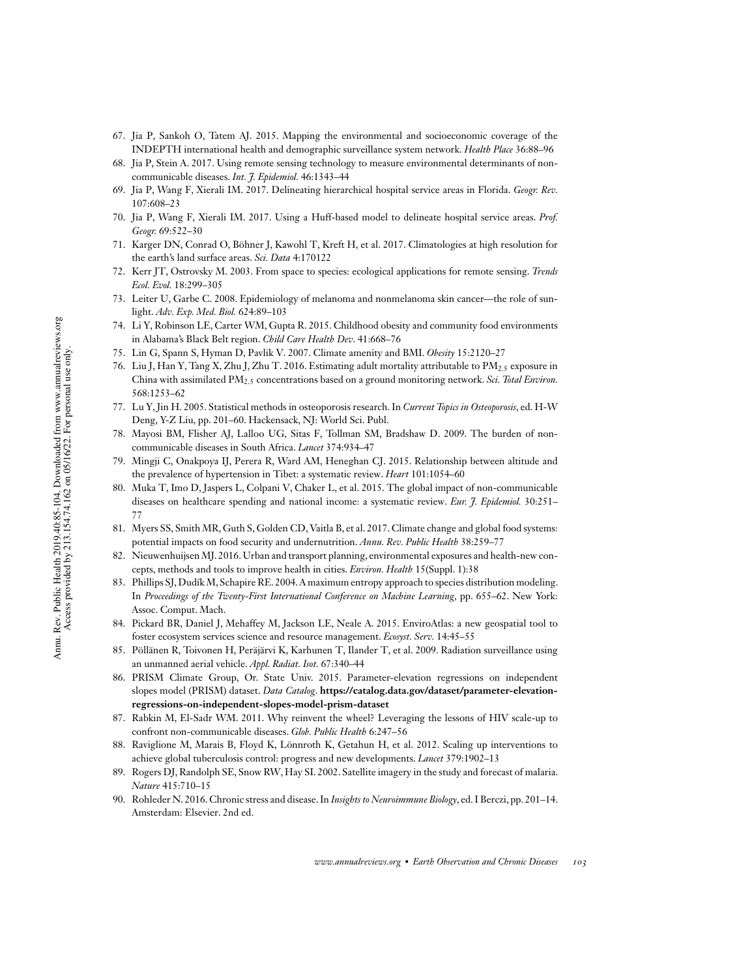- 67. Jia P, Sankoh O, Tatem AJ. 2015. Mapping the environmental and socioeconomic coverage of the INDEPTH international health and demographic surveillance system network. *Health Place* 36:88–96
- 68. Jia P, Stein A. 2017. Using remote sensing technology to measure environmental determinants of noncommunicable diseases. *Int. J. Epidemiol.* 46:1343–44
- 69. Jia P, Wang F, Xierali IM. 2017. Delineating hierarchical hospital service areas in Florida. *Geogr. Rev.* 107:608–23
- 70. Jia P, Wang F, Xierali IM. 2017. Using a Huff-based model to delineate hospital service areas. *Prof. Geogr.* 69:522–30
- 71. Karger DN, Conrad O, Böhner J, Kawohl T, Kreft H, et al. 2017. Climatologies at high resolution for the earth's land surface areas. *Sci. Data* 4:170122
- 72. Kerr JT, Ostrovsky M. 2003. From space to species: ecological applications for remote sensing. *Trends Ecol. Evol.* 18:299–305
- 73. Leiter U, Garbe C. 2008. Epidemiology of melanoma and nonmelanoma skin cancer—the role of sunlight. *Adv. Exp. Med. Biol.* 624:89–103
- 74. Li Y, Robinson LE, Carter WM, Gupta R. 2015. Childhood obesity and community food environments in Alabama's Black Belt region. *Child Care Health Dev*. 41:668–76
- 75. Lin G, Spann S, Hyman D, Pavlik V. 2007. Climate amenity and BMI. *Obesity* 15:2120–27
- 76. Liu J, Han Y, Tang X, Zhu J, Zhu T. 2016. Estimating adult mortality attributable to PM2.5 exposure in China with assimilated PM2.5 concentrations based on a ground monitoring network. *Sci. Total Environ.* 568:1253–62
- 77. Lu Y,Jin H. 2005. Statistical methods in osteoporosis research.In *Current Topics in Osteoporosis*, ed. H-W Deng, Y-Z Liu, pp. 201–60. Hackensack, NJ: World Sci. Publ.
- 78. Mayosi BM, Flisher AJ, Lalloo UG, Sitas F, Tollman SM, Bradshaw D. 2009. The burden of noncommunicable diseases in South Africa. *Lancet* 374:934–47
- 79. Mingji C, Onakpoya IJ, Perera R, Ward AM, Heneghan CJ. 2015. Relationship between altitude and the prevalence of hypertension in Tibet: a systematic review. *Heart* 101:1054–60
- 80. Muka T, Imo D, Jaspers L, Colpani V, Chaker L, et al. 2015. The global impact of non-communicable diseases on healthcare spending and national income: a systematic review. *Eur. J. Epidemiol.* 30:251– 77
- 81. Myers SS, Smith MR, Guth S, Golden CD, Vaitla B, et al. 2017. Climate change and global food systems: potential impacts on food security and undernutrition. *Annu. Rev. Public Health* 38:259–77
- 82. Nieuwenhuijsen MJ. 2016. Urban and transport planning, environmental exposures and health-new concepts, methods and tools to improve health in cities. *Environ. Health* 15(Suppl. 1):38
- 83. Phillips SJ,Dudík M,Schapire RE. 2004.A maximum entropy approach to species distribution modeling. In *Proceedings of the Twenty-First International Conference on Machine Learning*, pp. 655–62. New York: Assoc. Comput. Mach.
- 84. Pickard BR, Daniel J, Mehaffey M, Jackson LE, Neale A. 2015. EnviroAtlas: a new geospatial tool to foster ecosystem services science and resource management. *Ecosyst. Serv.* 14:45–55
- 85. Pöllänen R, Toivonen H, Peräjärvi K, Karhunen T, Ilander T, et al. 2009. Radiation surveillance using an unmanned aerial vehicle. *Appl. Radiat. Isot.* 67:340–44
- 86. PRISM Climate Group, Or. State Univ. 2015. Parameter-elevation regressions on independent slopes model (PRISM) dataset. *Data Catalog*. **https://catalog.data.gov/dataset/parameter-elevationregressions-on-independent-slopes-model-prism-dataset**
- 87. Rabkin M, El-Sadr WM. 2011. Why reinvent the wheel? Leveraging the lessons of HIV scale-up to confront non-communicable diseases. *Glob. Public Health* 6:247–56
- 88. Raviglione M, Marais B, Floyd K, Lönnroth K, Getahun H, et al. 2012. Scaling up interventions to achieve global tuberculosis control: progress and new developments. *Lancet* 379:1902–13
- 89. Rogers DJ, Randolph SE, Snow RW, Hay SI. 2002. Satellite imagery in the study and forecast of malaria. *Nature* 415:710–15
- 90. Rohleder N. 2016.Chronic stress and disease.In *Insights to Neuroimmune Biology*, ed.I Berczi, pp. 201–14. Amsterdam: Elsevier. 2nd ed.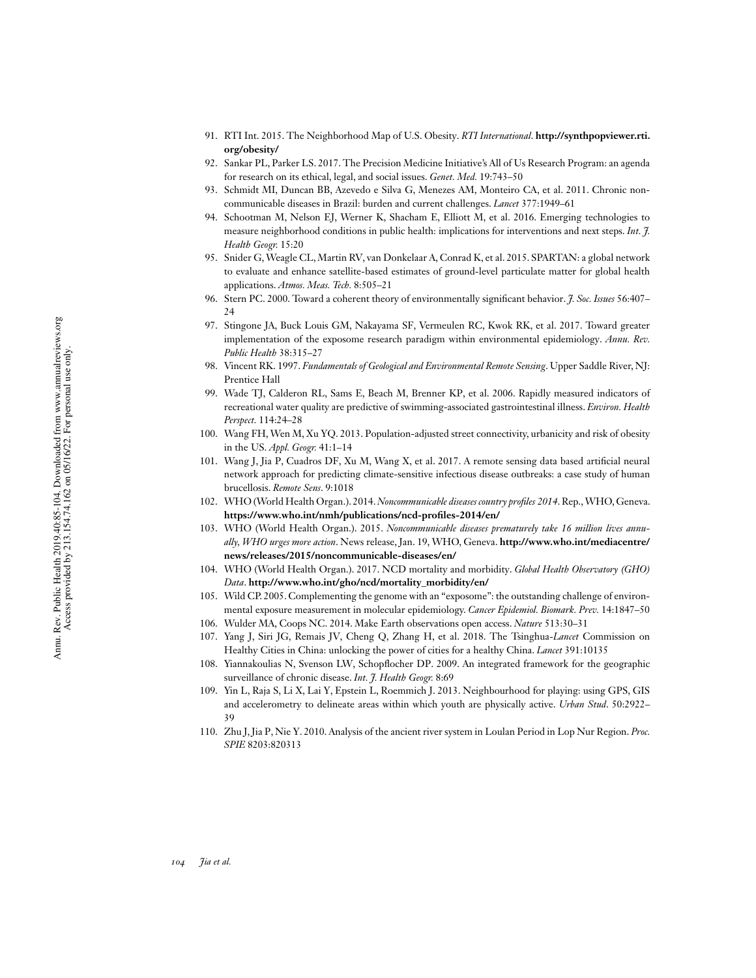- 91. RTI Int. 2015. The Neighborhood Map of U.S. Obesity. *RTI International*. **http://synthpopviewer.rti. org/obesity/**
- 92. Sankar PL, Parker LS. 2017. The Precision Medicine Initiative's All of Us Research Program: an agenda for research on its ethical, legal, and social issues. *Genet. Med.* 19:743–50
- 93. Schmidt MI, Duncan BB, Azevedo e Silva G, Menezes AM, Monteiro CA, et al. 2011. Chronic noncommunicable diseases in Brazil: burden and current challenges. *Lancet* 377:1949–61
- 94. Schootman M, Nelson EJ, Werner K, Shacham E, Elliott M, et al. 2016. Emerging technologies to measure neighborhood conditions in public health: implications for interventions and next steps. *Int. J. Health Geogr.* 15:20
- 95. Snider G,Weagle CL, Martin RV, van Donkelaar A, Conrad K, et al. 2015. SPARTAN: a global network to evaluate and enhance satellite-based estimates of ground-level particulate matter for global health applications. *Atmos. Meas. Tech.* 8:505–21
- 96. Stern PC. 2000. Toward a coherent theory of environmentally significant behavior. *J. Soc. Issues* 56:407– 24
- 97. Stingone JA, Buck Louis GM, Nakayama SF, Vermeulen RC, Kwok RK, et al. 2017. Toward greater implementation of the exposome research paradigm within environmental epidemiology. *Annu. Rev. Public Health* 38:315–27
- 98. Vincent RK. 1997. *Fundamentals of Geological and Environmental Remote Sensing*. Upper Saddle River, NJ: Prentice Hall
- 99. Wade TJ, Calderon RL, Sams E, Beach M, Brenner KP, et al. 2006. Rapidly measured indicators of recreational water quality are predictive of swimming-associated gastrointestinal illness. *Environ. Health Perspect.* 114:24–28
- 100. Wang FH, Wen M, Xu YQ. 2013. Population-adjusted street connectivity, urbanicity and risk of obesity in the US. *Appl. Geogr.* 41:1–14
- 101. Wang J, Jia P, Cuadros DF, Xu M, Wang X, et al. 2017. A remote sensing data based artificial neural network approach for predicting climate-sensitive infectious disease outbreaks: a case study of human brucellosis. *Remote Sens*. 9:1018
- 102. WHO (World Health Organ.). 2014.*Noncommunicable diseases country proles 2014*. Rep.,WHO, Geneva. https://www.who.int/nmh/publications/ncd-profiles-2014/en/
- 103. WHO (World Health Organ.). 2015. *Noncommunicable diseases prematurely take 16 million lives annually, WHO urges more action*. News release, Jan. 19, WHO, Geneva. **http://www.who.int/mediacentre/ news/releases/2015/noncommunicable-diseases/en/**
- 104. WHO (World Health Organ.). 2017. NCD mortality and morbidity. *Global Health Observatory (GHO) Data*. **http://www.who.int/gho/ncd/mortality\_morbidity/en/**
- 105. Wild CP. 2005. Complementing the genome with an "exposome": the outstanding challenge of environmental exposure measurement in molecular epidemiology. *Cancer Epidemiol. Biomark. Prev.* 14:1847–50
- 106. Wulder MA, Coops NC. 2014. Make Earth observations open access. *Nature* 513:30–31
- 107. Yang J, Siri JG, Remais JV, Cheng Q, Zhang H, et al. 2018. The Tsinghua-*Lancet* Commission on Healthy Cities in China: unlocking the power of cities for a healthy China. *Lancet* 391:10135
- 108. Yiannakoulias N, Svenson LW, Schopflocher DP. 2009. An integrated framework for the geographic surveillance of chronic disease. *Int. J. Health Geogr.* 8:69
- 109. Yin L, Raja S, Li X, Lai Y, Epstein L, Roemmich J. 2013. Neighbourhood for playing: using GPS, GIS and accelerometry to delineate areas within which youth are physically active. *Urban Stud*. 50:2922– 39
- 110. Zhu J,Jia P, Nie Y. 2010. Analysis of the ancient river system in Loulan Period in Lop Nur Region. *Proc. SPIE* 8203:820313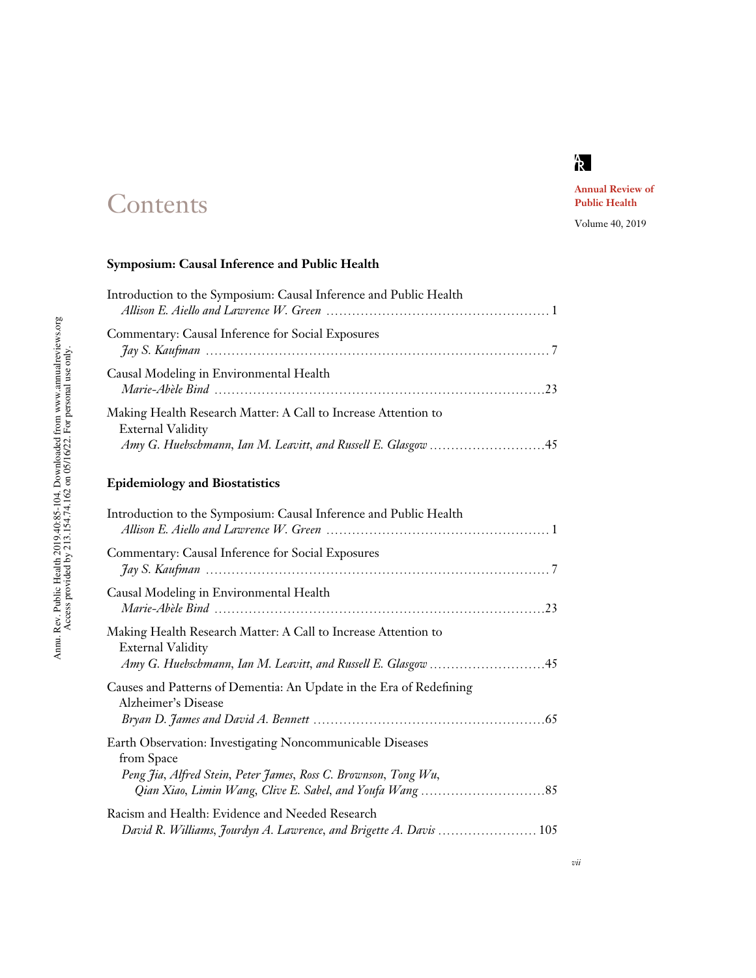# k<br>R

# **Contents**

# **Annual Review of Public Health**

Volume 40, 2019

# **Symposium: Causal Inference and Public Health**

| Introduction to the Symposium: Causal Inference and Public Health                          |  |
|--------------------------------------------------------------------------------------------|--|
| Commentary: Causal Inference for Social Exposures                                          |  |
| Causal Modeling in Environmental Health                                                    |  |
| Making Health Research Matter: A Call to Increase Attention to<br><b>External Validity</b> |  |

# **Epidemiology and Biostatistics**

| Introduction to the Symposium: Causal Inference and Public Health                                                                          |
|--------------------------------------------------------------------------------------------------------------------------------------------|
| Commentary: Causal Inference for Social Exposures                                                                                          |
| Causal Modeling in Environmental Health                                                                                                    |
| Making Health Research Matter: A Call to Increase Attention to<br><b>External Validity</b>                                                 |
| Causes and Patterns of Dementia: An Update in the Era of Redefining<br>Alzheimer's Disease                                                 |
| Earth Observation: Investigating Noncommunicable Diseases<br>from Space<br>Peng Jia, Alfred Stein, Peter James, Ross C. Brownson, Tong Wu, |
| Racism and Health: Evidence and Needed Research<br>David R. Williams, Jourdyn A. Lawrence, and Brigette A. Davis  105                      |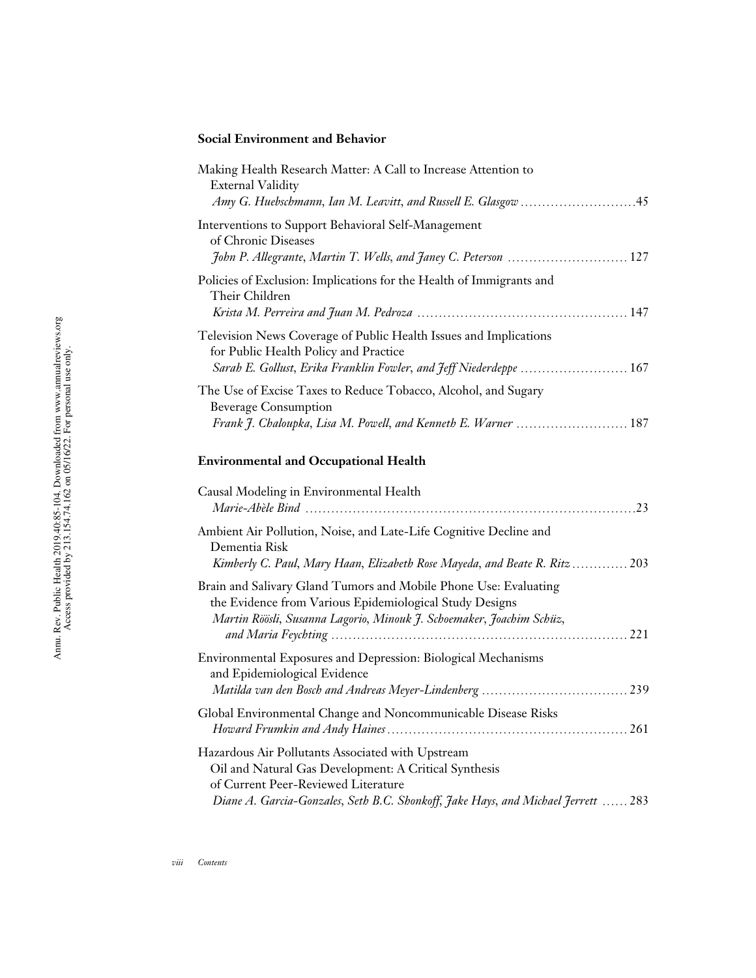# **Social Environment and Behavior**

| Making Health Research Matter: A Call to Increase Attention to<br><b>External Validity</b>                                                                                                          |
|-----------------------------------------------------------------------------------------------------------------------------------------------------------------------------------------------------|
| Interventions to Support Behavioral Self-Management<br>of Chronic Diseases<br>John P. Allegrante, Martin T. Wells, and Janey C. Peterson  127                                                       |
| Policies of Exclusion: Implications for the Health of Immigrants and<br>Their Children                                                                                                              |
| Television News Coverage of Public Health Issues and Implications<br>for Public Health Policy and Practice<br>Sarah E. Gollust, Erika Franklin Fowler, and Jeff Niederdeppe  167                    |
| The Use of Excise Taxes to Reduce Tobacco, Alcohol, and Sugary<br><b>Beverage Consumption</b><br>Frank J. Chaloupka, Lisa M. Powell, and Kenneth E. Warner  187                                     |
| <b>Environmental and Occupational Health</b>                                                                                                                                                        |
| Causal Modeling in Environmental Health                                                                                                                                                             |
| Ambient Air Pollution, Noise, and Late-Life Cognitive Decline and<br>Dementia Risk<br>Kimberly C. Paul, Mary Haan, Elizabeth Rose Mayeda, and Beate R. Ritz 203                                     |
| Brain and Salivary Gland Tumors and Mobile Phone Use: Evaluating<br>the Evidence from Various Epidemiological Study Designs<br>Martin Röösli, Susanna Lagorio, Minouk J. Schoemaker, Joachim Schüz, |
|                                                                                                                                                                                                     |

| <b>Environmental Exposures and Depression: Biological Mechanisms</b><br>and Epidemiological Evidence |  |
|------------------------------------------------------------------------------------------------------|--|
|                                                                                                      |  |
| Global Environmental Change and Noncommunicable Disease Risks                                        |  |
|                                                                                                      |  |
| Hazardous Air Pollutants Associated with Upstream                                                    |  |
| Oil and Natural Gas Development: A Critical Synthesis                                                |  |
| of Current Peer-Reviewed Literature                                                                  |  |
| Diane A. Garcia-Gonzales, Seth B.C. Shonkoff, Jake Hays, and Michael Jerrett  283                    |  |
|                                                                                                      |  |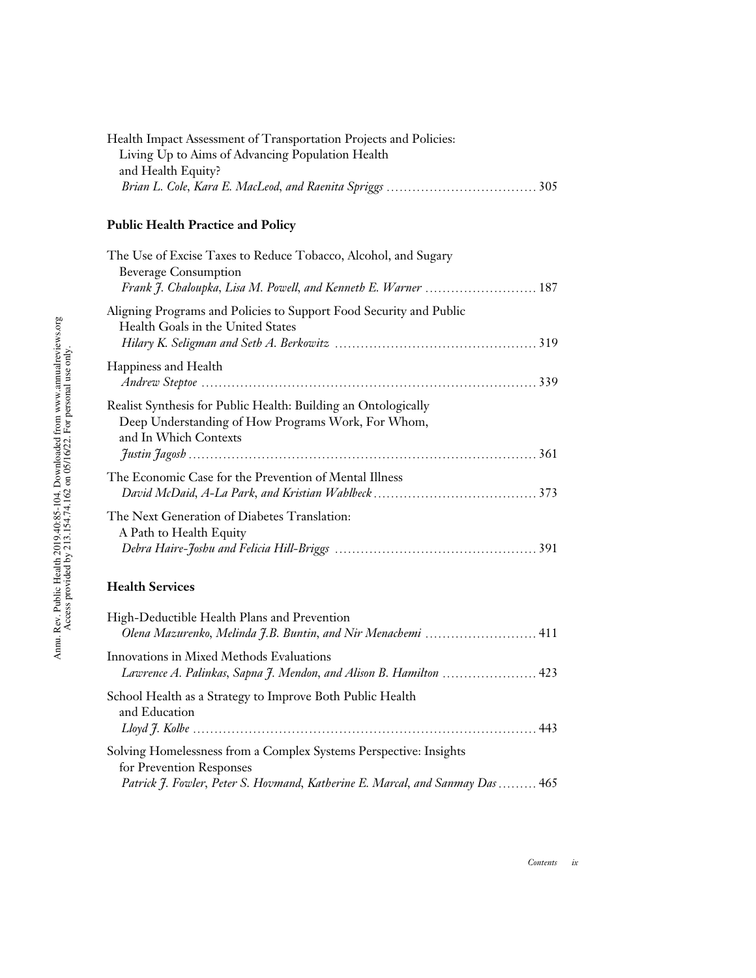| Health Impact Assessment of Transportation Projects and Policies: |  |
|-------------------------------------------------------------------|--|
| Living Up to Aims of Advancing Population Health                  |  |
| and Health Equity?                                                |  |
|                                                                   |  |

# **Public Health Practice and Policy**

| The Use of Excise Taxes to Reduce Tobacco, Alcohol, and Sugary<br><b>Beverage Consumption</b><br>Frank J. Chaloupka, Lisa M. Powell, and Kenneth E. Warner  187                |
|--------------------------------------------------------------------------------------------------------------------------------------------------------------------------------|
| Aligning Programs and Policies to Support Food Security and Public<br>Health Goals in the United States                                                                        |
| Happiness and Health                                                                                                                                                           |
| Realist Synthesis for Public Health: Building an Ontologically<br>Deep Understanding of How Programs Work, For Whom,<br>and In Which Contexts                                  |
| The Economic Case for the Prevention of Mental Illness                                                                                                                         |
| The Next Generation of Diabetes Translation:<br>A Path to Health Equity                                                                                                        |
| <b>Health Services</b>                                                                                                                                                         |
| High-Deductible Health Plans and Prevention<br>Olena Mazurenko, Melinda J.B. Buntin, and Nir Menachemi  411                                                                    |
| Innovations in Mixed Methods Evaluations<br>Lawrence A. Palinkas, Sapna J. Mendon, and Alison B. Hamilton  423                                                                 |
| School Health as a Strategy to Improve Both Public Health<br>and Education                                                                                                     |
| Solving Homelessness from a Complex Systems Perspective: Insights<br>for Prevention Responses<br>Patrick J. Fowler, Peter S. Hovmand, Katherine E. Marcal, and Sanmay Das  465 |

*Contents ix*